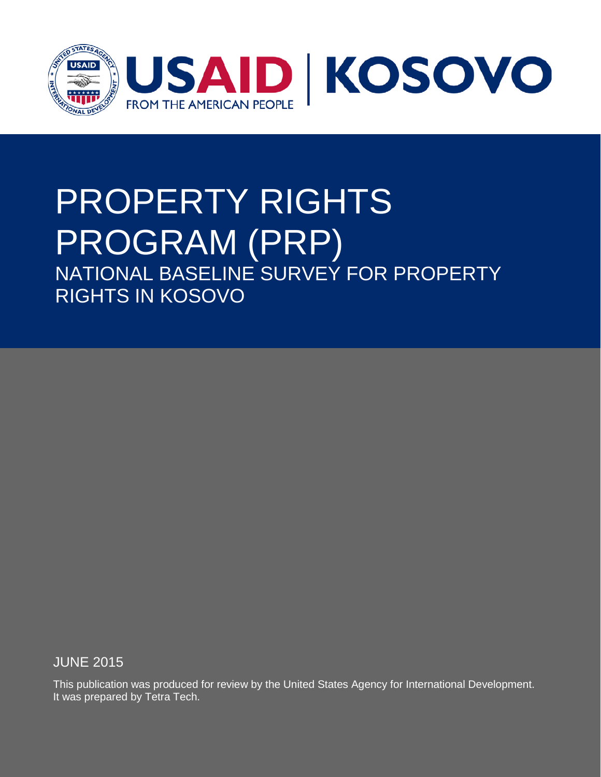

## PROPERTY RIGHTS PROGRAM (PRP) NATIONAL BASELINE SURVEY FOR PROPERTY RIGHTS IN KOSOVO

JUNE 2015

This publication was produced for review by the United States Agency for International Development. It was prepared by Tetra Tech.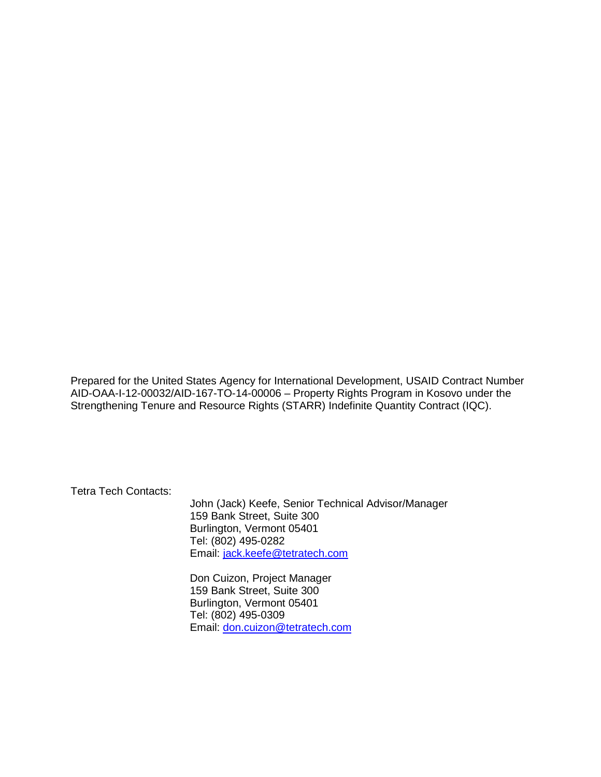Prepared for the United States Agency for International Development, USAID Contract Number AID-OAA-I-12-00032/AID-167-TO-14-00006 – Property Rights Program in Kosovo under the Strengthening Tenure and Resource Rights (STARR) Indefinite Quantity Contract (IQC).

Tetra Tech Contacts:

John (Jack) Keefe, Senior Technical Advisor/Manager 159 Bank Street, Suite 300 Burlington, Vermont 05401 Tel: (802) 495-0282 Email: [jack.keefe@tetratech.com](mailto:jack.keefe@tetratech.com)

Don Cuizon, Project Manager 159 Bank Street, Suite 300 Burlington, Vermont 05401 Tel: (802) 495-0309 Email: [don.cuizon@tetratech.com](mailto:don.cuizon@tetratech.com)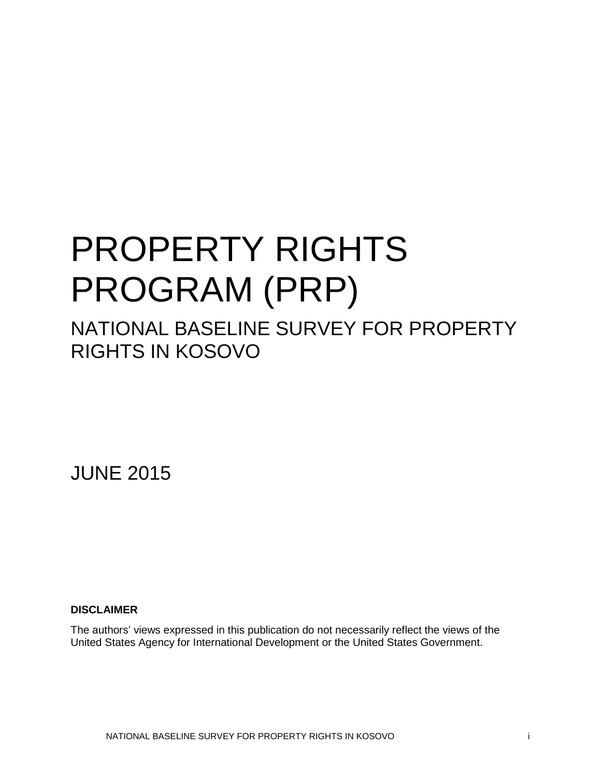## PROPERTY RIGHTS PROGRAM (PRP)

## NATIONAL BASELINE SURVEY FOR PROPERTY RIGHTS IN KOSOVO

JUNE 2015

### **DISCLAIMER**

The authors' views expressed in this publication do not necessarily reflect the views of the United States Agency for International Development or the United States Government.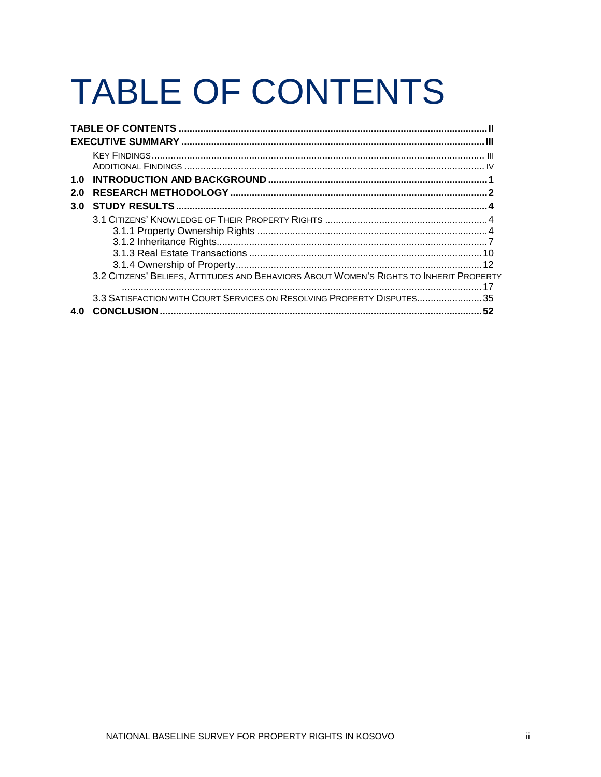# <span id="page-3-0"></span>**TABLE OF CONTENTS**

| 1.0 |                                                                                         |    |
|-----|-----------------------------------------------------------------------------------------|----|
| 2.0 |                                                                                         |    |
| 3.0 |                                                                                         |    |
|     |                                                                                         |    |
|     |                                                                                         |    |
|     |                                                                                         |    |
|     |                                                                                         |    |
|     |                                                                                         |    |
|     | 3.2 CITIZENS' BELIEFS, ATTITUDES AND BEHAVIORS ABOUT WOMEN'S RIGHTS TO INHERIT PROPERTY |    |
|     |                                                                                         |    |
|     | 3.3 SATISFACTION WITH COURT SERVICES ON RESOLVING PROPERTY DISPUTES35                   |    |
| 4.O | <b>CONCLUSION</b>                                                                       | 52 |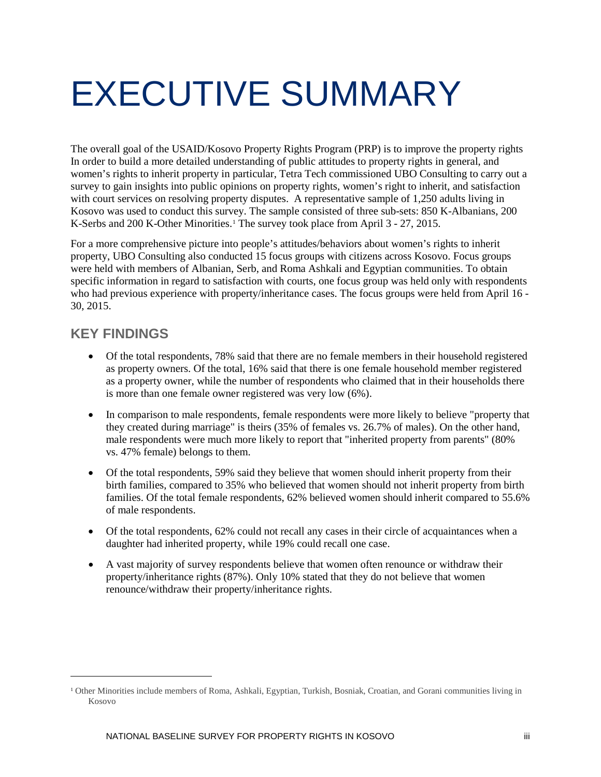## <span id="page-4-0"></span>EXECUTIVE SUMMARY

The overall goal of the USAID/Kosovo Property Rights Program (PRP) is to improve the property rights In order to build a more detailed understanding of public attitudes to property rights in general, and women's rights to inherit property in particular, Tetra Tech commissioned UBO Consulting to carry out a survey to gain insights into public opinions on property rights, women's right to inherit, and satisfaction with court services on resolving property disputes. A representative sample of 1,250 adults living in Kosovo was used to conduct this survey. The sample consisted of three sub-sets: 850 K-Albanians, 200 K-Serbs and 200 K-Other Minorities.<sup>[1](#page-4-2)</sup> The survey took place from April 3 - 27, 2015.

For a more comprehensive picture into people's attitudes/behaviors about women's rights to inherit property, UBO Consulting also conducted 15 focus groups with citizens across Kosovo. Focus groups were held with members of Albanian, Serb, and Roma Ashkali and Egyptian communities. To obtain specific information in regard to satisfaction with courts, one focus group was held only with respondents who had previous experience with property/inheritance cases. The focus groups were held from April 16 - 30, 2015.

## <span id="page-4-1"></span>**KEY FINDINGS**

 $\overline{a}$ 

- Of the total respondents, 78% said that there are no female members in their household registered as property owners. Of the total, 16% said that there is one female household member registered as a property owner, while the number of respondents who claimed that in their households there is more than one female owner registered was very low (6%).
- In comparison to male respondents, female respondents were more likely to believe "property that they created during marriage" is theirs (35% of females vs. 26.7% of males). On the other hand, male respondents were much more likely to report that "inherited property from parents" (80% vs. 47% female) belongs to them.
- Of the total respondents, 59% said they believe that women should inherit property from their birth families, compared to 35% who believed that women should not inherit property from birth families. Of the total female respondents, 62% believed women should inherit compared to 55.6% of male respondents.
- Of the total respondents, 62% could not recall any cases in their circle of acquaintances when a daughter had inherited property, while 19% could recall one case.
- A vast majority of survey respondents believe that women often renounce or withdraw their property/inheritance rights (87%). Only 10% stated that they do not believe that women renounce/withdraw their property/inheritance rights.

<span id="page-4-2"></span><sup>1</sup> Other Minorities include members of Roma, Ashkali, Egyptian, Turkish, Bosniak, Croatian, and Gorani communities living in Kosovo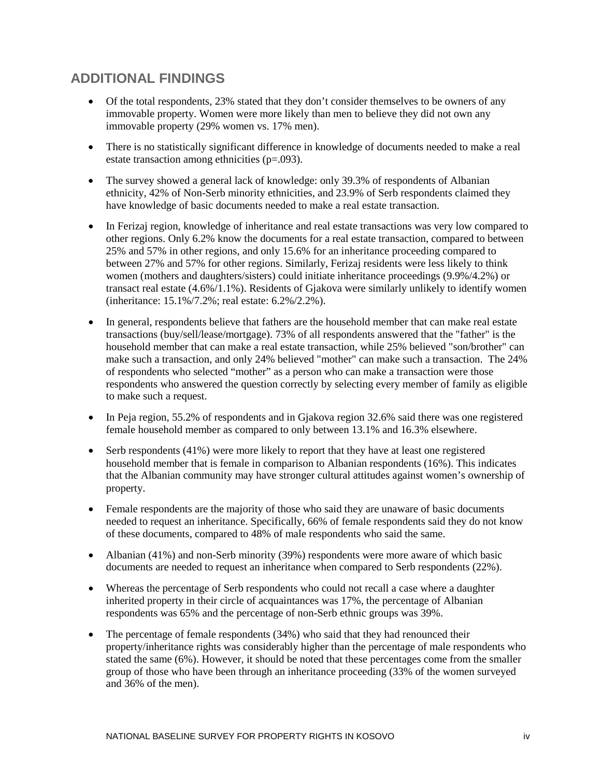## <span id="page-5-0"></span>**ADDITIONAL FINDINGS**

- Of the total respondents, 23% stated that they don't consider themselves to be owners of any immovable property. Women were more likely than men to believe they did not own any immovable property (29% women vs. 17% men).
- There is no statistically significant difference in knowledge of documents needed to make a real estate transaction among ethnicities (p=.093).
- The survey showed a general lack of knowledge: only 39.3% of respondents of Albanian ethnicity, 42% of Non-Serb minority ethnicities, and 23.9% of Serb respondents claimed they have knowledge of basic documents needed to make a real estate transaction.
- In Ferizaj region, knowledge of inheritance and real estate transactions was very low compared to other regions. Only 6.2% know the documents for a real estate transaction, compared to between 25% and 57% in other regions, and only 15.6% for an inheritance proceeding compared to between 27% and 57% for other regions. Similarly, Ferizaj residents were less likely to think women (mothers and daughters/sisters) could initiate inheritance proceedings (9.9%/4.2%) or transact real estate (4.6%/1.1%). Residents of Gjakova were similarly unlikely to identify women (inheritance: 15.1%/7.2%; real estate: 6.2%/2.2%).
- In general, respondents believe that fathers are the household member that can make real estate transactions (buy/sell/lease/mortgage). 73% of all respondents answered that the "father" is the household member that can make a real estate transaction, while 25% believed "son/brother" can make such a transaction, and only 24% believed "mother" can make such a transaction. The 24% of respondents who selected "mother" as a person who can make a transaction were those respondents who answered the question correctly by selecting every member of family as eligible to make such a request.
- In Peja region, 55.2% of respondents and in Gjakova region 32.6% said there was one registered female household member as compared to only between 13.1% and 16.3% elsewhere.
- Serb respondents (41%) were more likely to report that they have at least one registered household member that is female in comparison to Albanian respondents (16%). This indicates that the Albanian community may have stronger cultural attitudes against women's ownership of property.
- Female respondents are the majority of those who said they are unaware of basic documents needed to request an inheritance. Specifically, 66% of female respondents said they do not know of these documents, compared to 48% of male respondents who said the same.
- Albanian (41%) and non-Serb minority (39%) respondents were more aware of which basic documents are needed to request an inheritance when compared to Serb respondents (22%).
- Whereas the percentage of Serb respondents who could not recall a case where a daughter inherited property in their circle of acquaintances was 17%, the percentage of Albanian respondents was 65% and the percentage of non-Serb ethnic groups was 39%.
- The percentage of female respondents (34%) who said that they had renounced their property/inheritance rights was considerably higher than the percentage of male respondents who stated the same (6%). However, it should be noted that these percentages come from the smaller group of those who have been through an inheritance proceeding (33% of the women surveyed and 36% of the men).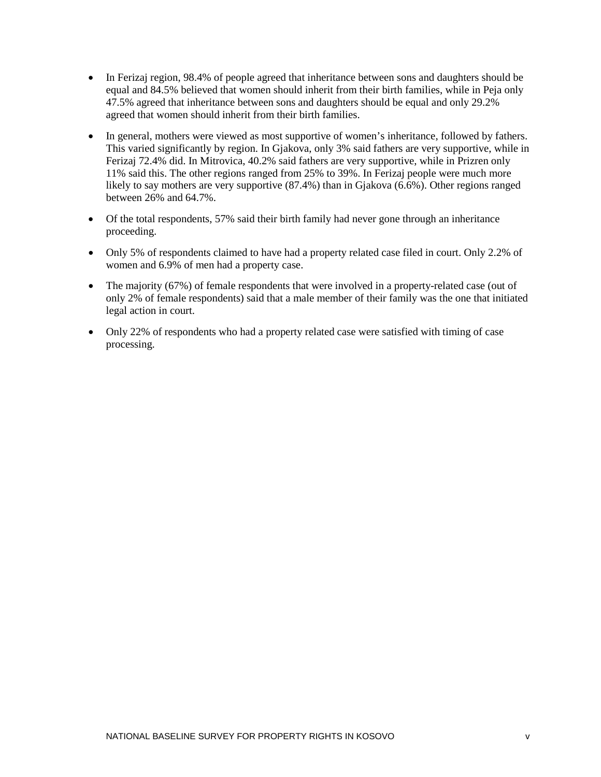- In Ferizaj region, 98.4% of people agreed that inheritance between sons and daughters should be equal and 84.5% believed that women should inherit from their birth families, while in Peja only 47.5% agreed that inheritance between sons and daughters should be equal and only 29.2% agreed that women should inherit from their birth families.
- In general, mothers were viewed as most supportive of women's inheritance, followed by fathers. This varied significantly by region. In Gjakova, only 3% said fathers are very supportive, while in Ferizaj 72.4% did. In Mitrovica, 40.2% said fathers are very supportive, while in Prizren only 11% said this. The other regions ranged from 25% to 39%. In Ferizaj people were much more likely to say mothers are very supportive (87.4%) than in Gjakova (6.6%). Other regions ranged between 26% and 64.7%.
- Of the total respondents, 57% said their birth family had never gone through an inheritance proceeding.
- Only 5% of respondents claimed to have had a property related case filed in court. Only 2.2% of women and 6.9% of men had a property case.
- The majority (67%) of female respondents that were involved in a property-related case (out of only 2% of female respondents) said that a male member of their family was the one that initiated legal action in court.
- Only 22% of respondents who had a property related case were satisfied with timing of case processing.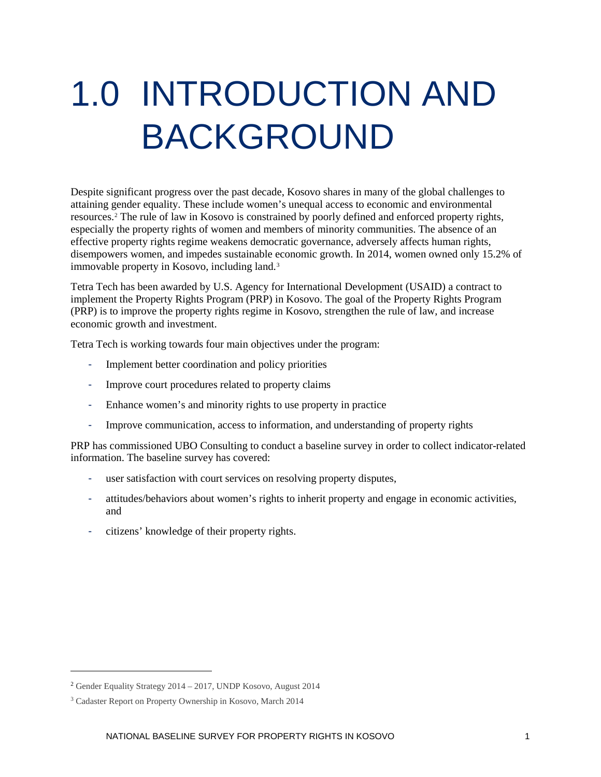## <span id="page-7-0"></span>1.0 INTRODUCTION AND BACKGROUND

Despite significant progress over the past decade, Kosovo shares in many of the global challenges to attaining gender equality. These include women's unequal access to economic and environmental resources.[2](#page-7-1) The rule of law in Kosovo is constrained by poorly defined and enforced property rights, especially the property rights of women and members of minority communities. The absence of an effective property rights regime weakens democratic governance, adversely affects human rights, disempowers women, and impedes sustainable economic growth. In 2014, women owned only 15.2% of immovable property in Kosovo, including land.[3](#page-7-2)

Tetra Tech has been awarded by U.S. Agency for International Development (USAID) a contract to implement the Property Rights Program (PRP) in Kosovo. The goal of the Property Rights Program (PRP) is to improve the property rights regime in Kosovo, strengthen the rule of law, and increase economic growth and investment.

Tetra Tech is working towards four main objectives under the program:

- Implement better coordination and policy priorities
- Improve court procedures related to property claims
- Enhance women's and minority rights to use property in practice
- Improve communication, access to information, and understanding of property rights

PRP has commissioned UBO Consulting to conduct a baseline survey in order to collect indicator-related information. The baseline survey has covered:

- user satisfaction with court services on resolving property disputes,
- attitudes/behaviors about women's rights to inherit property and engage in economic activities, and
- citizens' knowledge of their property rights.

 $\overline{a}$ 

<span id="page-7-1"></span><sup>2</sup> Gender Equality Strategy 2014 – 2017, UNDP Kosovo, August 2014

<span id="page-7-2"></span><sup>3</sup> Cadaster Report on Property Ownership in Kosovo, March 2014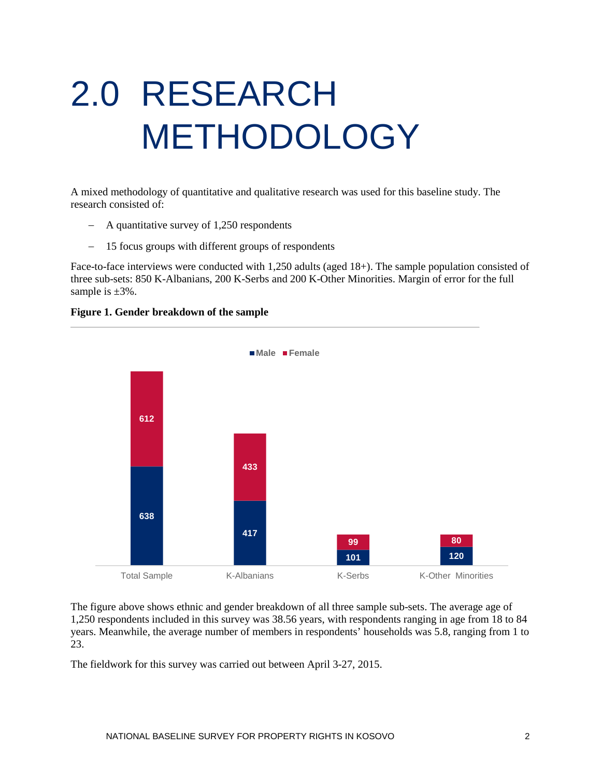# <span id="page-8-0"></span>2.0 RESEARCH METHODOLOGY

A mixed methodology of quantitative and qualitative research was used for this baseline study. The research consisted of:

- − A quantitative survey of 1,250 respondents
- − 15 focus groups with different groups of respondents

Face-to-face interviews were conducted with 1,250 adults (aged 18+). The sample population consisted of three sub-sets: 850 K-Albanians, 200 K-Serbs and 200 K-Other Minorities. Margin of error for the full sample is  $\pm 3\%$ .

#### **Figure 1. Gender breakdown of the sample**



The figure above shows ethnic and gender breakdown of all three sample sub-sets. The average age of 1,250 respondents included in this survey was 38.56 years, with respondents ranging in age from 18 to 84 years. Meanwhile, the average number of members in respondents' households was 5.8, ranging from 1 to 23.

The fieldwork for this survey was carried out between April 3-27, 2015.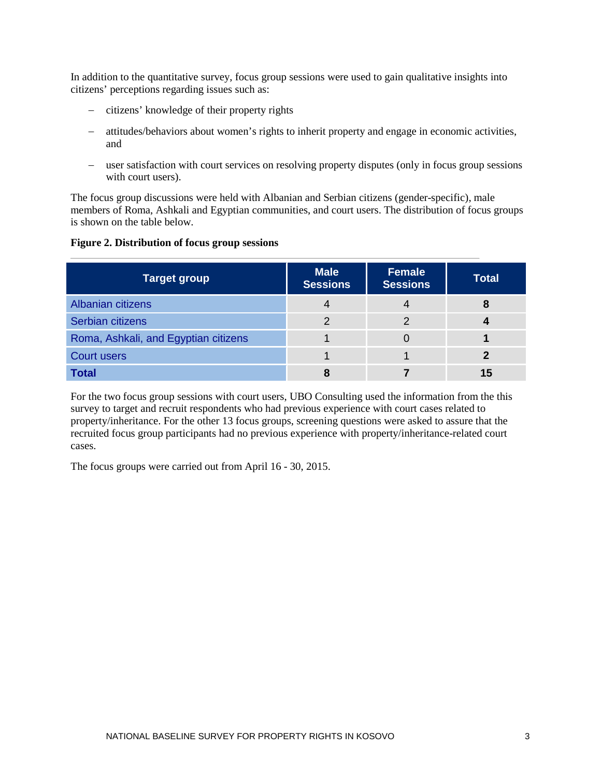In addition to the quantitative survey, focus group sessions were used to gain qualitative insights into citizens' perceptions regarding issues such as:

- − citizens' knowledge of their property rights
- − attitudes/behaviors about women's rights to inherit property and engage in economic activities, and
- − user satisfaction with court services on resolving property disputes (only in focus group sessions with court users).

The focus group discussions were held with Albanian and Serbian citizens (gender-specific), male members of Roma, Ashkali and Egyptian communities, and court users. The distribution of focus groups is shown on the table below.

#### **Figure 2. Distribution of focus group sessions**

| <b>Target group</b>                  | <b>Male</b><br><b>Sessions</b> | <b>Female</b><br><b>Sessions</b> | <b>Total</b> |  |
|--------------------------------------|--------------------------------|----------------------------------|--------------|--|
| Albanian citizens                    |                                |                                  | 8            |  |
| Serbian citizens                     | っ                              |                                  |              |  |
| Roma, Ashkali, and Egyptian citizens |                                |                                  |              |  |
| <b>Court users</b>                   |                                |                                  |              |  |
| <b>Total</b>                         |                                |                                  | 15           |  |

For the two focus group sessions with court users, UBO Consulting used the information from the this survey to target and recruit respondents who had previous experience with court cases related to property/inheritance. For the other 13 focus groups, screening questions were asked to assure that the recruited focus group participants had no previous experience with property/inheritance-related court cases.

The focus groups were carried out from April 16 - 30, 2015.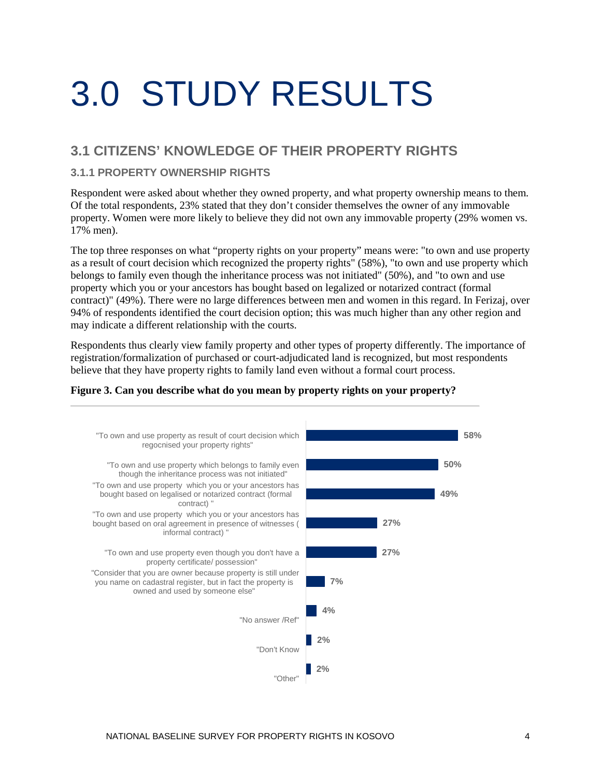# <span id="page-10-0"></span>3.0 STUDY RESULTS

## <span id="page-10-1"></span>**3.1 CITIZENS' KNOWLEDGE OF THEIR PROPERTY RIGHTS**

## <span id="page-10-2"></span>**3.1.1 PROPERTY OWNERSHIP RIGHTS**

Respondent were asked about whether they owned property, and what property ownership means to them. Of the total respondents, 23% stated that they don't consider themselves the owner of any immovable property. Women were more likely to believe they did not own any immovable property (29% women vs. 17% men).

The top three responses on what "property rights on your property" means were: "to own and use property as a result of court decision which recognized the property rights" (58%), "to own and use property which belongs to family even though the inheritance process was not initiated" (50%), and "to own and use property which you or your ancestors has bought based on legalized or notarized contract (formal contract)" (49%). There were no large differences between men and women in this regard. In Ferizaj, over 94% of respondents identified the court decision option; this was much higher than any other region and may indicate a different relationship with the courts.

Respondents thus clearly view family property and other types of property differently. The importance of registration/formalization of purchased or court-adjudicated land is recognized, but most respondents believe that they have property rights to family land even without a formal court process.



#### **Figure 3. Can you describe what do you mean by property rights on your property?**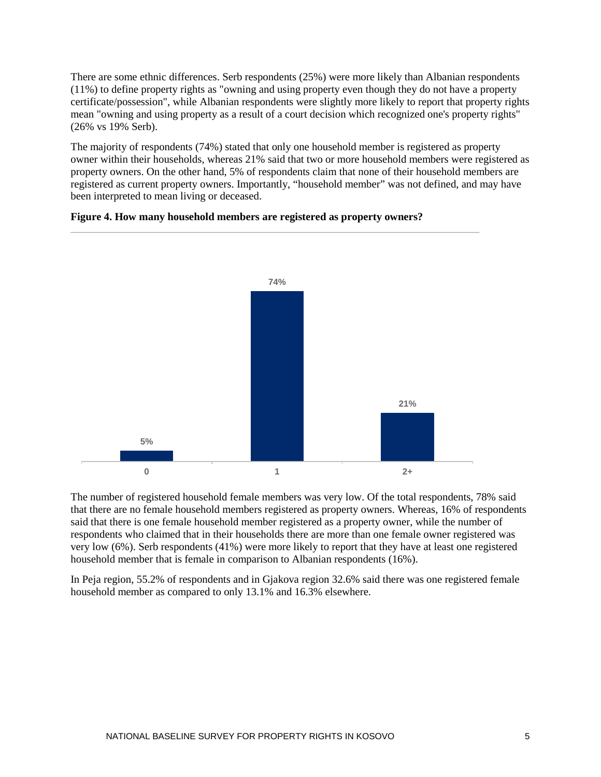There are some ethnic differences. Serb respondents (25%) were more likely than Albanian respondents (11%) to define property rights as "owning and using property even though they do not have a property certificate/possession", while Albanian respondents were slightly more likely to report that property rights mean "owning and using property as a result of a court decision which recognized one's property rights" (26% vs 19% Serb).

The majority of respondents (74%) stated that only one household member is registered as property owner within their households, whereas 21% said that two or more household members were registered as property owners. On the other hand, 5% of respondents claim that none of their household members are registered as current property owners. Importantly, "household member" was not defined, and may have been interpreted to mean living or deceased.



#### **Figure 4. How many household members are registered as property owners?**

The number of registered household female members was very low. Of the total respondents, 78% said that there are no female household members registered as property owners. Whereas, 16% of respondents said that there is one female household member registered as a property owner, while the number of respondents who claimed that in their households there are more than one female owner registered was very low (6%). Serb respondents (41%) were more likely to report that they have at least one registered household member that is female in comparison to Albanian respondents (16%).

In Peja region, 55.2% of respondents and in Gjakova region 32.6% said there was one registered female household member as compared to only 13.1% and 16.3% elsewhere.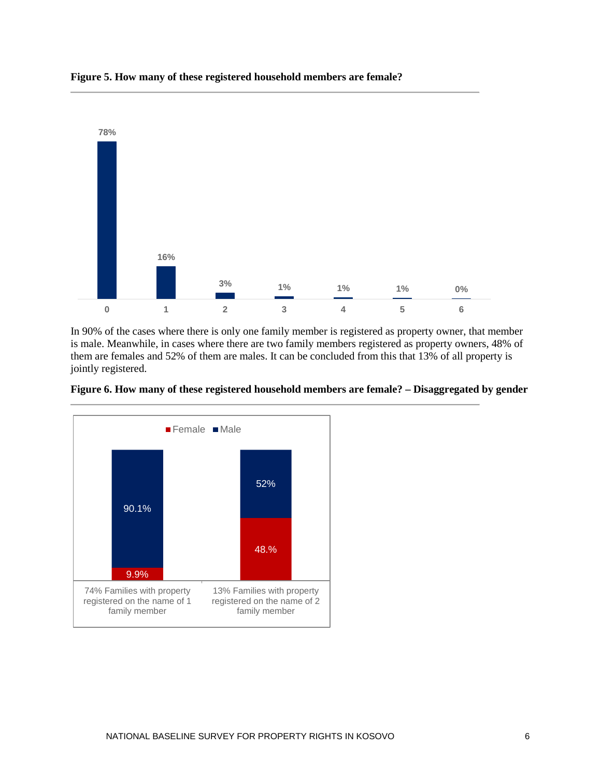

**Figure 5. How many of these registered household members are female?**

In 90% of the cases where there is only one family member is registered as property owner, that member is male. Meanwhile, in cases where there are two family members registered as property owners, 48% of them are females and 52% of them are males. It can be concluded from this that 13% of all property is jointly registered.

**Figure 6. How many of these registered household members are female? – Disaggregated by gender**

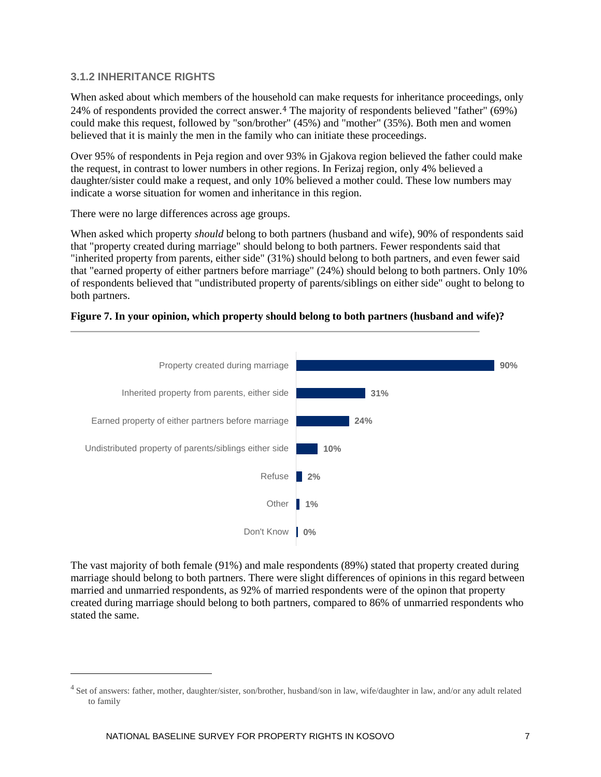## <span id="page-13-0"></span>**3.1.2 INHERITANCE RIGHTS**

When asked about which members of the [ho](#page-13-1)usehold can make requests for inheritance proceedings, only 24% of respondents provided the correct answer.4 The majority of respondents believed "father" (69%) could make this request, followed by "son/brother" (45%) and "mother" (35%). Both men and women believed that it is mainly the men in the family who can initiate these proceedings.

Over 95% of respondents in Peja region and over 93% in Gjakova region believed the father could make the request, in contrast to lower numbers in other regions. In Ferizaj region, only 4% believed a daughter/sister could make a request, and only 10% believed a mother could. These low numbers may indicate a worse situation for women and inheritance in this region.

There were no large differences across age groups.

When asked which property *should* belong to both partners (husband and wife), 90% of respondents said that "property created during marriage" should belong to both partners. Fewer respondents said that "inherited property from parents, either side" (31%) should belong to both partners, and even fewer said that "earned property of either partners before marriage" (24%) should belong to both partners. Only 10% of respondents believed that "undistributed property of parents/siblings on either side" ought to belong to both partners.





The vast majority of both female (91%) and male respondents (89%) stated that property created during marriage should belong to both partners. There were slight differences of opinions in this regard between married and unmarried respondents, as 92% of married respondents were of the opinon that property created during marriage should belong to both partners, compared to 86% of unmarried respondents who stated the same.

 $\overline{a}$ 

<span id="page-13-1"></span><sup>&</sup>lt;sup>4</sup> Set of answers: father, mother, daughter/sister, son/brother, husband/son in law, wife/daughter in law, and/or any adult related to family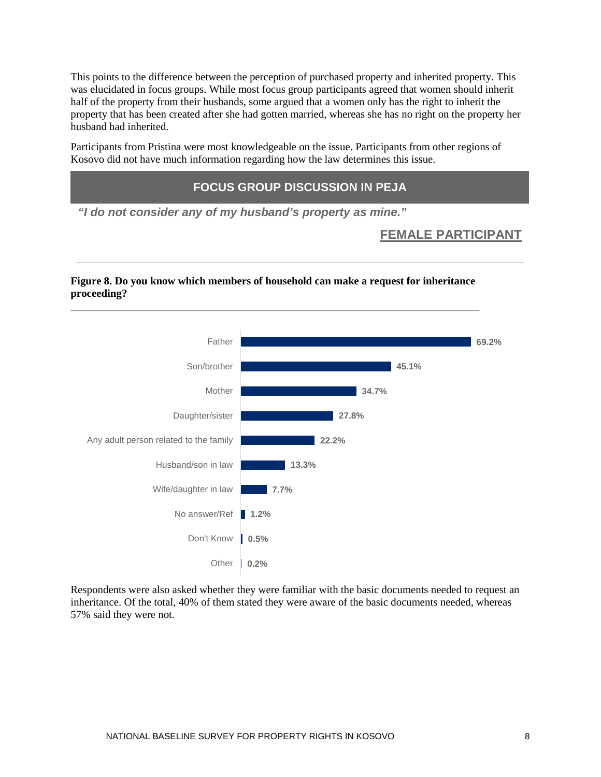This points to the difference between the perception of purchased property and inherited property. This was elucidated in focus groups. While most focus group participants agreed that women should inherit half of the property from their husbands, some argued that a women only has the right to inherit the property that has been created after she had gotten married, whereas she has no right on the property her husband had inherited.

Participants from Pristina were most knowledgeable on the issue. Participants from other regions of Kosovo did not have much information regarding how the law determines this issue.

## **FOCUS GROUP DISCUSSION IN PEJA**

*"I do not consider any of my husband's property as mine."*

## **FEMALE PARTICIPANT**

## **Figure 8. Do you know which members of household can make a request for inheritance proceeding?**



Respondents were also asked whether they were familiar with the basic documents needed to request an inheritance. Of the total, 40% of them stated they were aware of the basic documents needed, whereas 57% said they were not.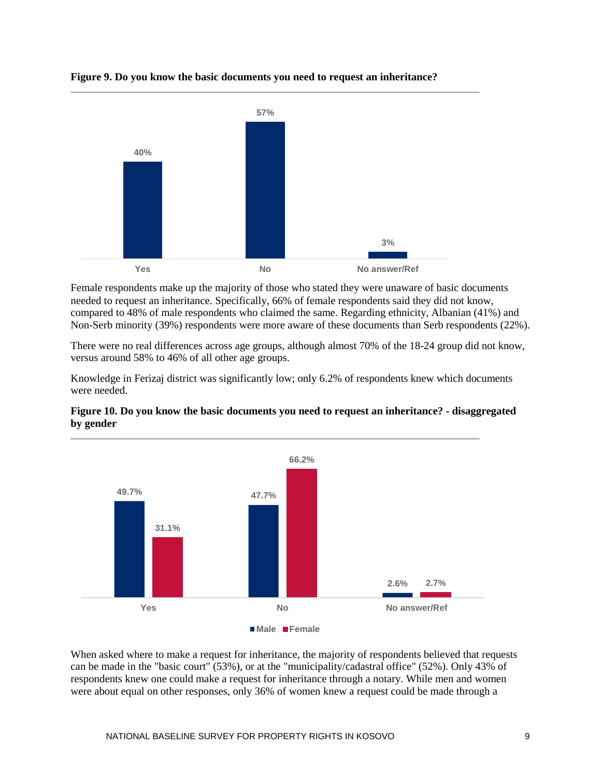

## **Figure 9. Do you know the basic documents you need to request an inheritance?**

Female respondents make up the majority of those who stated they were unaware of basic documents needed to request an inheritance. Specifically, 66% of female respondents said they did not know, compared to 48% of male respondents who claimed the same. Regarding ethnicity, Albanian (41%) and Non-Serb minority (39%) respondents were more aware of these documents than Serb respondents (22%).

There were no real differences across age groups, although almost 70% of the 18-24 group did not know, versus around 58% to 46% of all other age groups.

Knowledge in Ferizaj district was significantly low; only 6.2% of respondents knew which documents were needed.





When asked where to make a request for inheritance, the majority of respondents believed that requests can be made in the "basic court" (53%), or at the "municipality/cadastral office" (52%). Only 43% of respondents knew one could make a request for inheritance through a notary. While men and women were about equal on other responses, only 36% of women knew a request could be made through a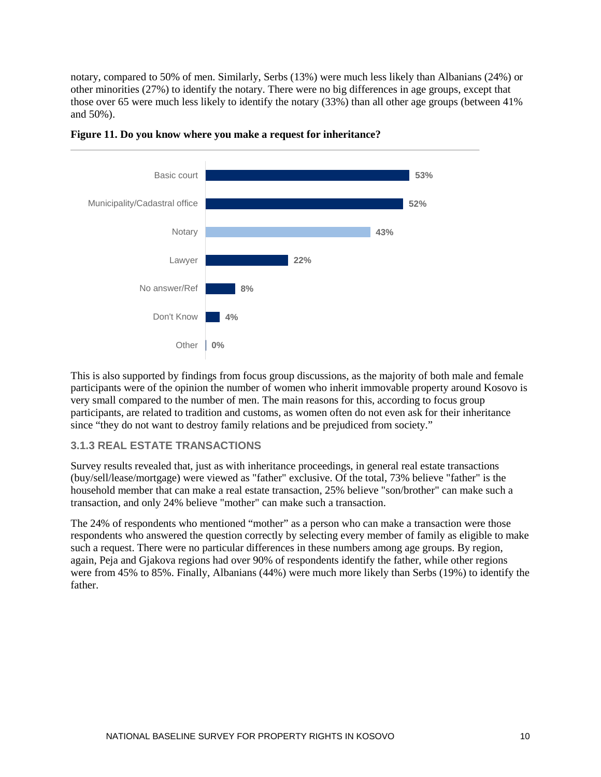notary, compared to 50% of men. Similarly, Serbs (13%) were much less likely than Albanians (24%) or other minorities (27%) to identify the notary. There were no big differences in age groups, except that those over 65 were much less likely to identify the notary (33%) than all other age groups (between 41% and 50%).





This is also supported by findings from focus group discussions, as the majority of both male and female participants were of the opinion the number of women who inherit immovable property around Kosovo is very small compared to the number of men. The main reasons for this, according to focus group participants, are related to tradition and customs, as women often do not even ask for their inheritance since "they do not want to destroy family relations and be prejudiced from society."

### <span id="page-16-0"></span>**3.1.3 REAL ESTATE TRANSACTIONS**

Survey results revealed that, just as with inheritance proceedings, in general real estate transactions (buy/sell/lease/mortgage) were viewed as "father" exclusive. Of the total, 73% believe "father" is the household member that can make a real estate transaction, 25% believe "son/brother" can make such a transaction, and only 24% believe "mother" can make such a transaction.

The 24% of respondents who mentioned "mother" as a person who can make a transaction were those respondents who answered the question correctly by selecting every member of family as eligible to make such a request. There were no particular differences in these numbers among age groups. By region, again, Peja and Gjakova regions had over 90% of respondents identify the father, while other regions were from 45% to 85%. Finally, Albanians (44%) were much more likely than Serbs (19%) to identify the father.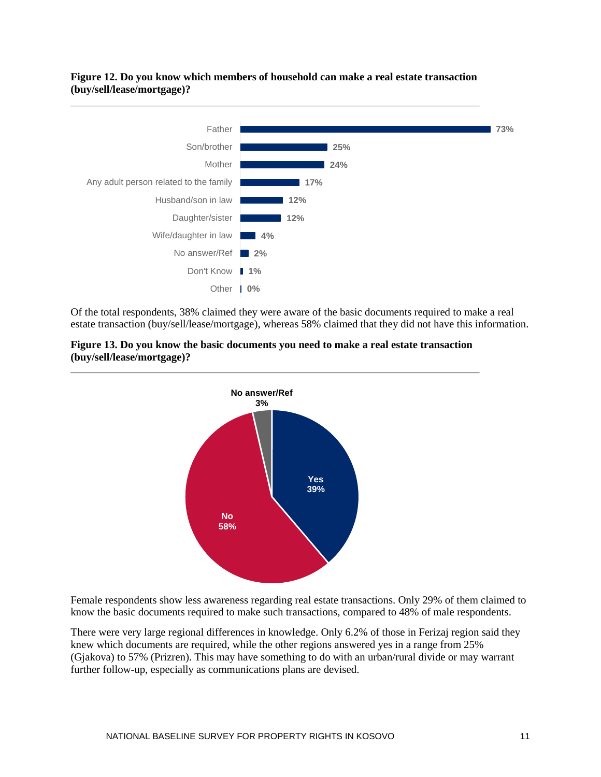### **Figure 12. Do you know which members of household can make a real estate transaction (buy/sell/lease/mortgage)?**



Of the total respondents, 38% claimed they were aware of the basic documents required to make a real estate transaction (buy/sell/lease/mortgage), whereas 58% claimed that they did not have this information.





Female respondents show less awareness regarding real estate transactions. Only 29% of them claimed to know the basic documents required to make such transactions, compared to 48% of male respondents.

There were very large regional differences in knowledge. Only 6.2% of those in Ferizaj region said they knew which documents are required, while the other regions answered yes in a range from 25% (Gjakova) to 57% (Prizren). This may have something to do with an urban/rural divide or may warrant further follow-up, especially as communications plans are devised.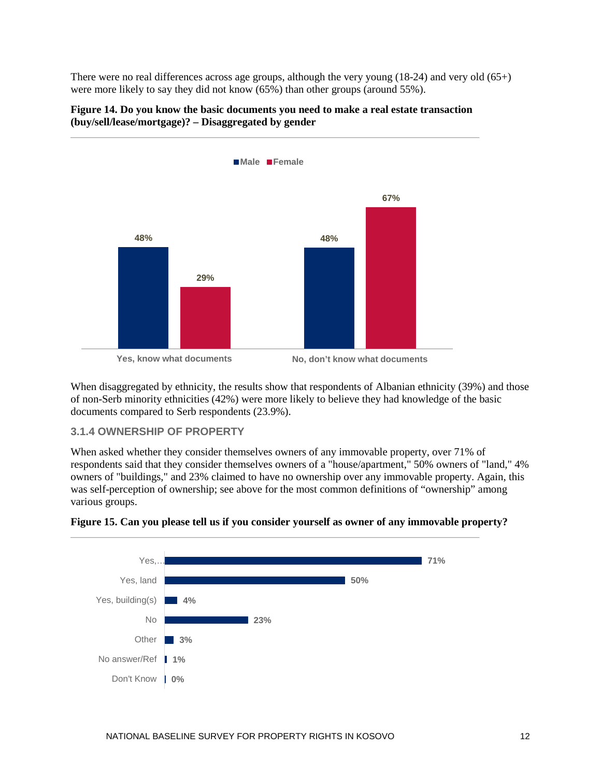There were no real differences across age groups, although the very young  $(18-24)$  and very old  $(65+)$ were more likely to say they did not know (65%) than other groups (around 55%).



## **Figure 14. Do you know the basic documents you need to make a real estate transaction (buy/sell/lease/mortgage)? – Disaggregated by gender**

When disaggregated by ethnicity, the results show that respondents of Albanian ethnicity (39%) and those of non-Serb minority ethnicities (42%) were more likely to believe they had knowledge of the basic documents compared to Serb respondents (23.9%).

## <span id="page-18-0"></span>**3.1.4 OWNERSHIP OF PROPERTY**

When asked whether they consider themselves owners of any immovable property, over 71% of respondents said that they consider themselves owners of a "house/apartment," 50% owners of "land," 4% owners of "buildings," and 23% claimed to have no ownership over any immovable property. Again, this was self-perception of ownership; see above for the most common definitions of "ownership" among various groups.



### **Figure 15. Can you please tell us if you consider yourself as owner of any immovable property?**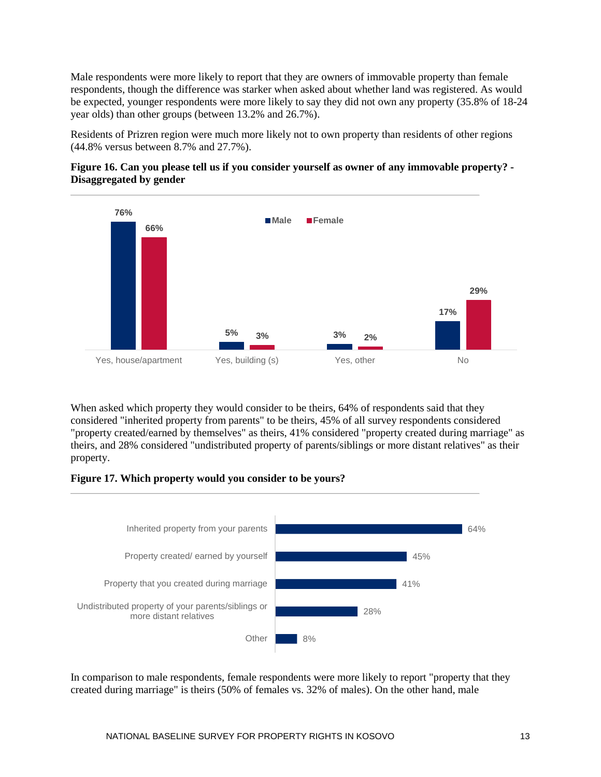Male respondents were more likely to report that they are owners of immovable property than female respondents, though the difference was starker when asked about whether land was registered. As would be expected, younger respondents were more likely to say they did not own any property (35.8% of 18-24 year olds) than other groups (between 13.2% and 26.7%).

Residents of Prizren region were much more likely not to own property than residents of other regions (44.8% versus between 8.7% and 27.7%).

## **Figure 16. Can you please tell us if you consider yourself as owner of any immovable property? - Disaggregated by gender**



When asked which property they would consider to be theirs, 64% of respondents said that they considered "inherited property from parents" to be theirs, 45% of all survey respondents considered "property created/earned by themselves" as theirs, 41% considered "property created during marriage" as theirs, and 28% considered "undistributed property of parents/siblings or more distant relatives" as their property.

### **Figure 17. Which property would you consider to be yours?**



In comparison to male respondents, female respondents were more likely to report "property that they created during marriage" is theirs (50% of females vs. 32% of males). On the other hand, male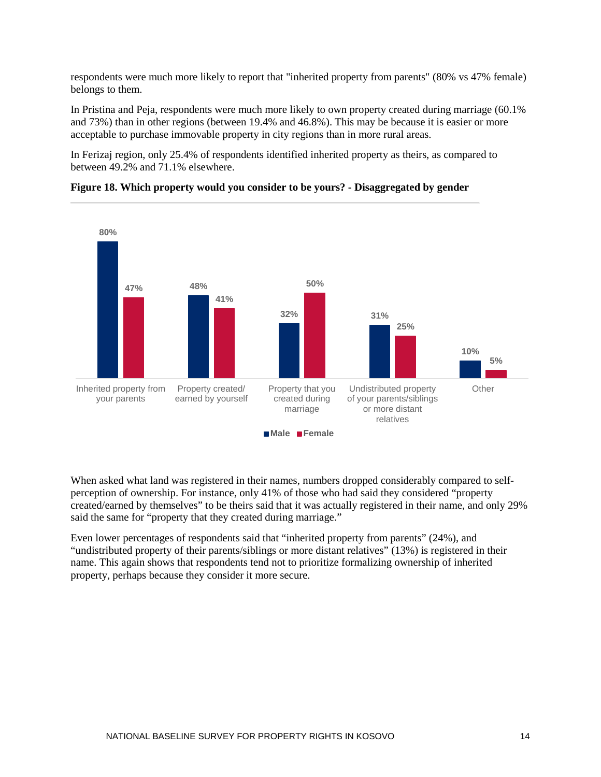respondents were much more likely to report that "inherited property from parents" (80% vs 47% female) belongs to them.

In Pristina and Peja, respondents were much more likely to own property created during marriage (60.1% and 73%) than in other regions (between 19.4% and 46.8%). This may be because it is easier or more acceptable to purchase immovable property in city regions than in more rural areas.

In Ferizaj region, only 25.4% of respondents identified inherited property as theirs, as compared to between 49.2% and 71.1% elsewhere.



**Figure 18. Which property would you consider to be yours? - Disaggregated by gender**

When asked what land was registered in their names, numbers dropped considerably compared to selfperception of ownership. For instance, only 41% of those who had said they considered "property created/earned by themselves" to be theirs said that it was actually registered in their name, and only 29% said the same for "property that they created during marriage."

Even lower percentages of respondents said that "inherited property from parents" (24%), and "undistributed property of their parents/siblings or more distant relatives" (13%) is registered in their name. This again shows that respondents tend not to prioritize formalizing ownership of inherited property, perhaps because they consider it more secure.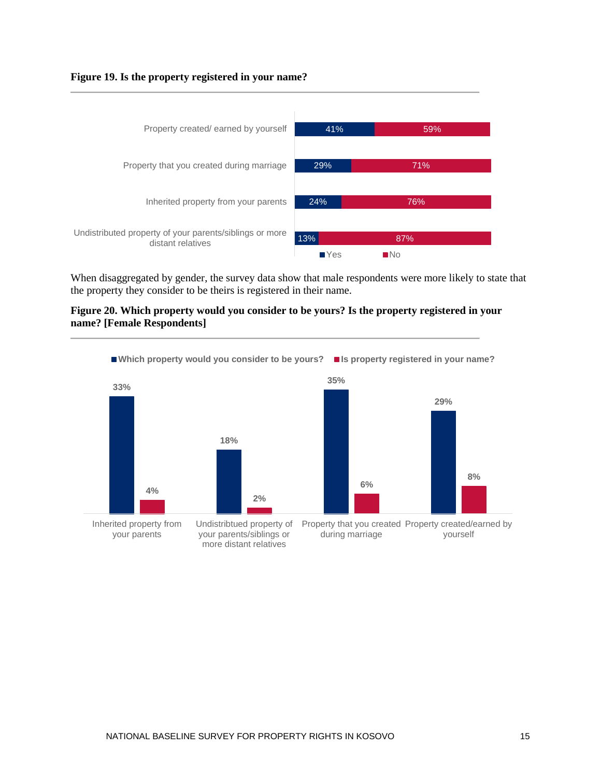#### **Figure 19. Is the property registered in your name?**



When disaggregated by gender, the survey data show that male respondents were more likely to state that the property they consider to be theirs is registered in their name.

#### **Figure 20. Which property would you consider to be yours? Is the property registered in your name? [Female Respondents]**

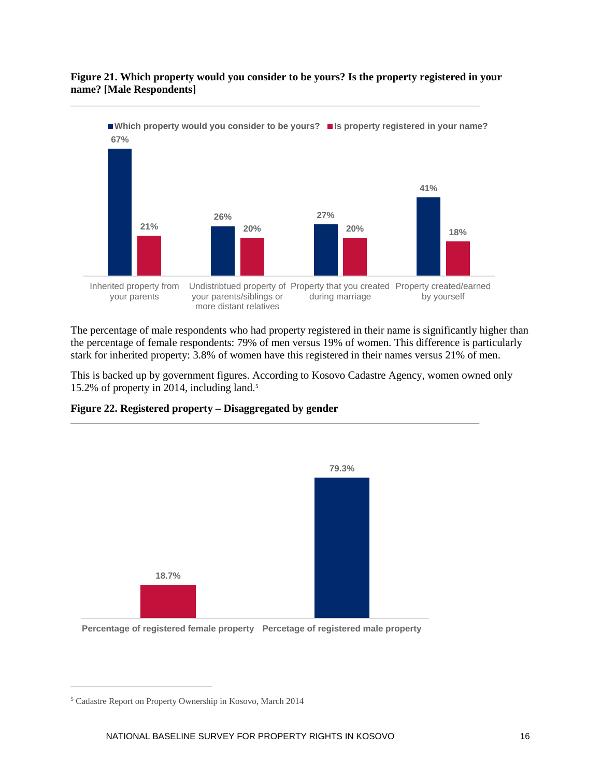### **Figure 21. Which property would you consider to be yours? Is the property registered in your name? [Male Respondents]**



The percentage of male respondents who had property registered in their name is significantly higher than the percentage of female respondents: 79% of men versus 19% of women. This difference is particularly stark for inherited property: 3.8% of women have this registered in their names versus 21% of men.

This is backed up by government figures. According to Kosovo Cadastre Agency, women owned only 15.2% of property in 2014, including land[.5](#page-22-0)



#### **Figure 22. Registered property – Disaggregated by gender**

 $\overline{a}$ 

**Percentage of registered female property Percetage of registered male property**

<span id="page-22-0"></span><sup>5</sup> Cadastre Report on Property Ownership in Kosovo, March 2014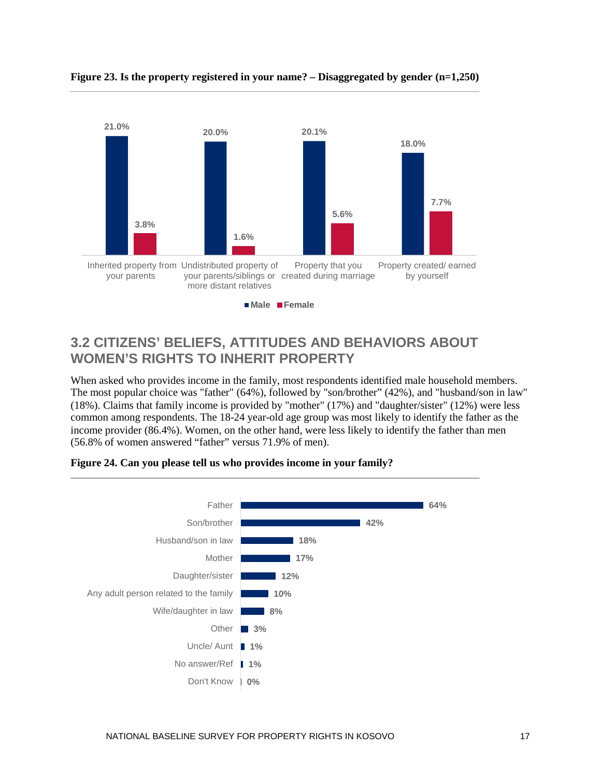

#### **Figure 23. Is the property registered in your name? – Disaggregated by gender (n=1,250)**

## <span id="page-23-0"></span>**3.2 CITIZENS' BELIEFS, ATTITUDES AND BEHAVIORS ABOUT WOMEN'S RIGHTS TO INHERIT PROPERTY**

When asked who provides income in the family, most respondents identified male household members. The most popular choice was "father" (64%), followed by "son/brother" (42%), and "husband/son in law" (18%). Claims that family income is provided by "mother" (17%) and "daughter/sister" (12%) were less common among respondents. The 18-24 year-old age group was most likely to identify the father as the income provider (86.4%). Women, on the other hand, were less likely to identify the father than men (56.8% of women answered "father" versus 71.9% of men).



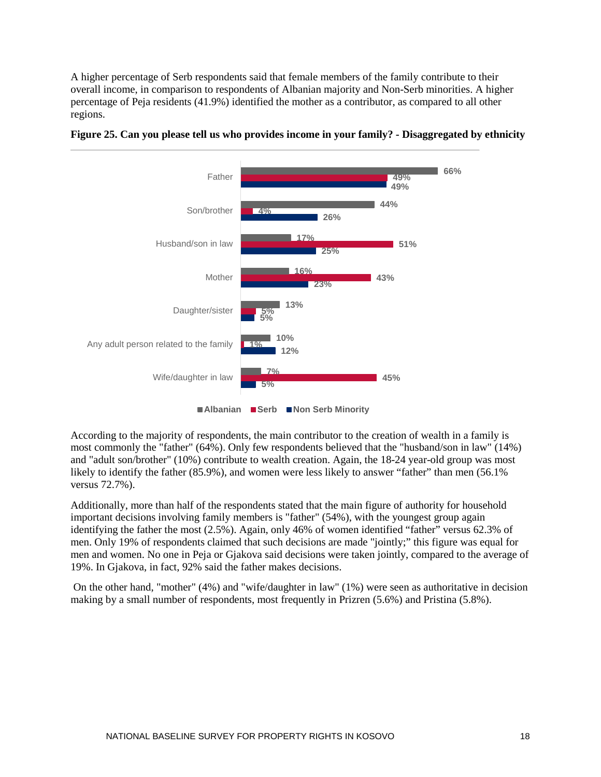A higher percentage of Serb respondents said that female members of the family contribute to their overall income, in comparison to respondents of Albanian majority and Non-Serb minorities. A higher percentage of Peja residents (41.9%) identified the mother as a contributor, as compared to all other regions.



## **Figure 25. Can you please tell us who provides income in your family? - Disaggregated by ethnicity**

According to the majority of respondents, the main contributor to the creation of wealth in a family is most commonly the "father" (64%). Only few respondents believed that the "husband/son in law" (14%) and "adult son/brother" (10%) contribute to wealth creation. Again, the 18-24 year-old group was most likely to identify the father (85.9%), and women were less likely to answer "father" than men (56.1% versus 72.7%).

Additionally, more than half of the respondents stated that the main figure of authority for household important decisions involving family members is "father" (54%), with the youngest group again identifying the father the most (2.5%). Again, only 46% of women identified "father" versus 62.3% of men. Only 19% of respondents claimed that such decisions are made "jointly;" this figure was equal for men and women. No one in Peja or Gjakova said decisions were taken jointly, compared to the average of 19%. In Gjakova, in fact, 92% said the father makes decisions.

On the other hand, "mother" (4%) and "wife/daughter in law" (1%) were seen as authoritative in decision making by a small number of respondents, most frequently in Prizren (5.6%) and Pristina (5.8%).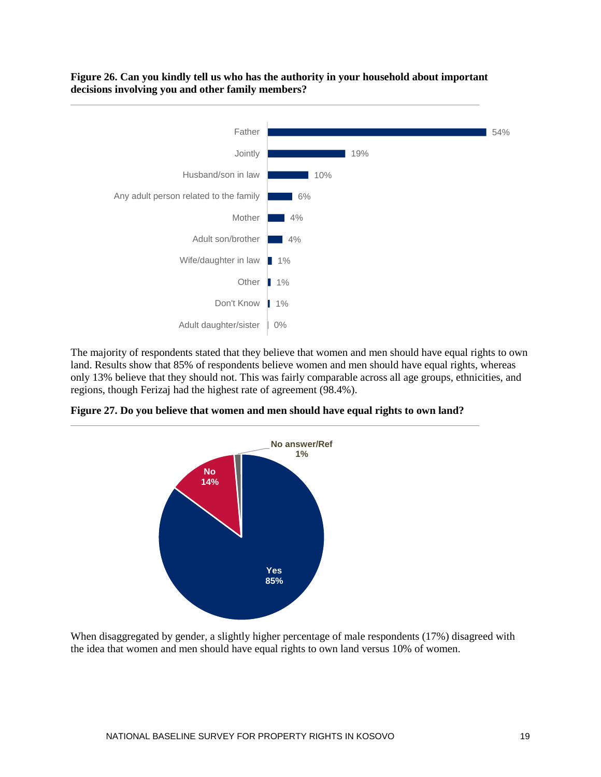



The majority of respondents stated that they believe that women and men should have equal rights to own land. Results show that 85% of respondents believe women and men should have equal rights, whereas only 13% believe that they should not. This was fairly comparable across all age groups, ethnicities, and regions, though Ferizaj had the highest rate of agreement (98.4%).

**Figure 27. Do you believe that women and men should have equal rights to own land?**



When disaggregated by gender, a slightly higher percentage of male respondents (17%) disagreed with the idea that women and men should have equal rights to own land versus 10% of women.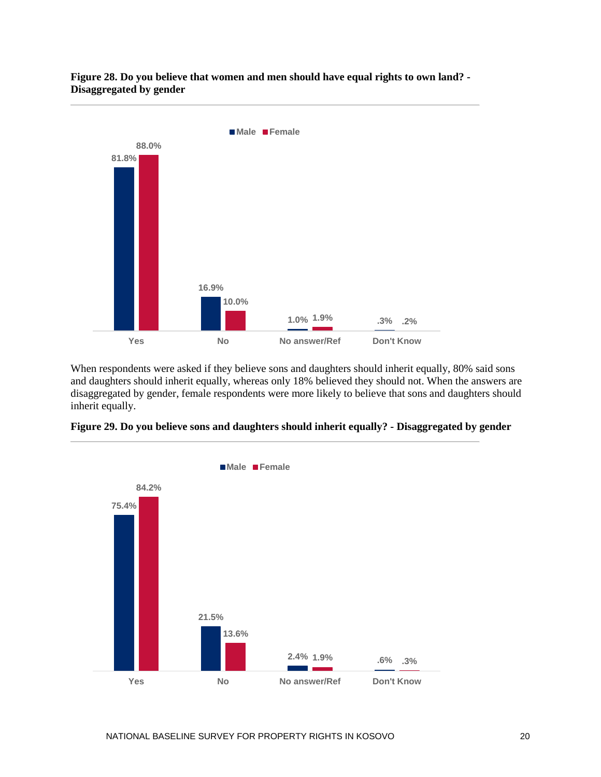#### **Figure 28. Do you believe that women and men should have equal rights to own land? - Disaggregated by gender**



When respondents were asked if they believe sons and daughters should inherit equally, 80% said sons and daughters should inherit equally, whereas only 18% believed they should not. When the answers are disaggregated by gender, female respondents were more likely to believe that sons and daughters should inherit equally.



**Figure 29. Do you believe sons and daughters should inherit equally? - Disaggregated by gender**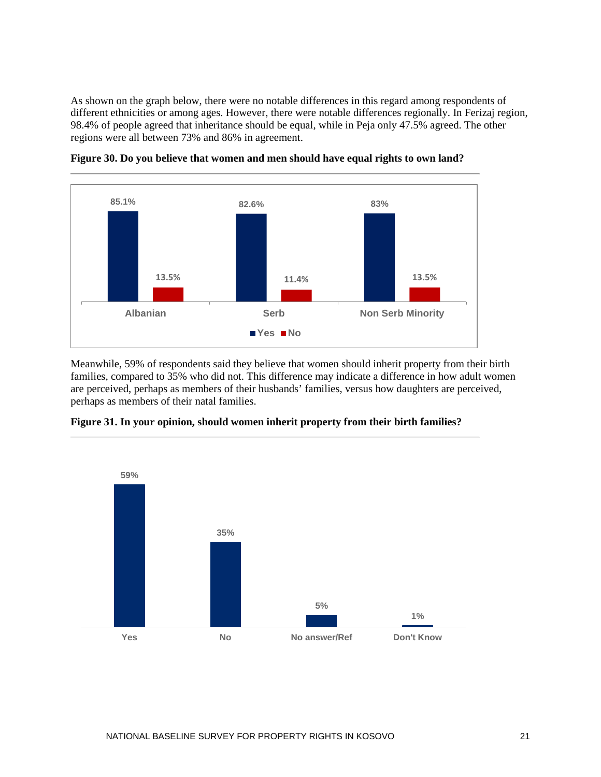As shown on the graph below, there were no notable differences in this regard among respondents of different ethnicities or among ages. However, there were notable differences regionally. In Ferizaj region, 98.4% of people agreed that inheritance should be equal, while in Peja only 47.5% agreed. The other regions were all between 73% and 86% in agreement.



**Figure 30. Do you believe that women and men should have equal rights to own land?**

Meanwhile, 59% of respondents said they believe that women should inherit property from their birth families, compared to 35% who did not. This difference may indicate a difference in how adult women are perceived, perhaps as members of their husbands' families, versus how daughters are perceived, perhaps as members of their natal families.



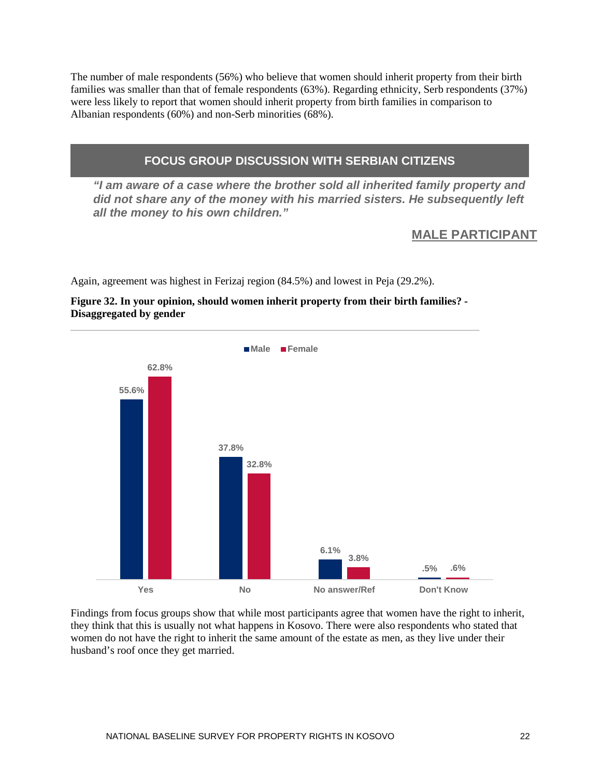The number of male respondents (56%) who believe that women should inherit property from their birth families was smaller than that of female respondents (63%). Regarding ethnicity, Serb respondents (37%) were less likely to report that women should inherit property from birth families in comparison to Albanian respondents (60%) and non-Serb minorities (68%).

## **FOCUS GROUP DISCUSSION WITH SERBIAN CITIZENS**

*"I am aware of a case where the brother sold all inherited family property and did not share any of the money with his married sisters. He subsequently left all the money to his own children."*

## **MALE PARTICIPANT**

Again, agreement was highest in Ferizaj region (84.5%) and lowest in Peja (29.2%).

## **Figure 32. In your opinion, should women inherit property from their birth families? - Disaggregated by gender**



Findings from focus groups show that while most participants agree that women have the right to inherit, they think that this is usually not what happens in Kosovo. There were also respondents who stated that women do not have the right to inherit the same amount of the estate as men, as they live under their husband's roof once they get married.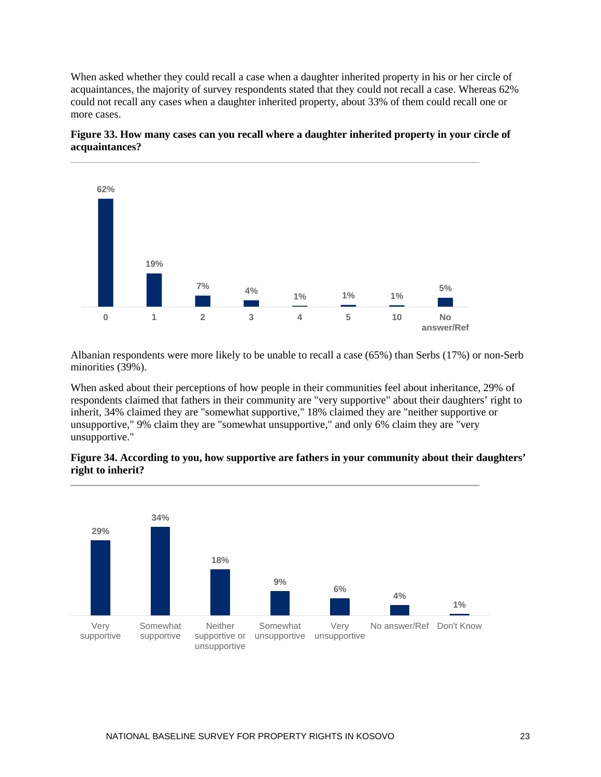When asked whether they could recall a case when a daughter inherited property in his or her circle of acquaintances, the majority of survey respondents stated that they could not recall a case. Whereas 62% could not recall any cases when a daughter inherited property, about 33% of them could recall one or more cases.



**Figure 33. How many cases can you recall where a daughter inherited property in your circle of acquaintances?**

Albanian respondents were more likely to be unable to recall a case (65%) than Serbs (17%) or non-Serb minorities (39%).

When asked about their perceptions of how people in their communities feel about inheritance, 29% of respondents claimed that fathers in their community are "very supportive" about their daughters' right to inherit, 34% claimed they are "somewhat supportive," 18% claimed they are "neither supportive or unsupportive," 9% claim they are "somewhat unsupportive," and only 6% claim they are "very unsupportive."

### **Figure 34. According to you, how supportive are fathers in your community about their daughters' right to inherit?**

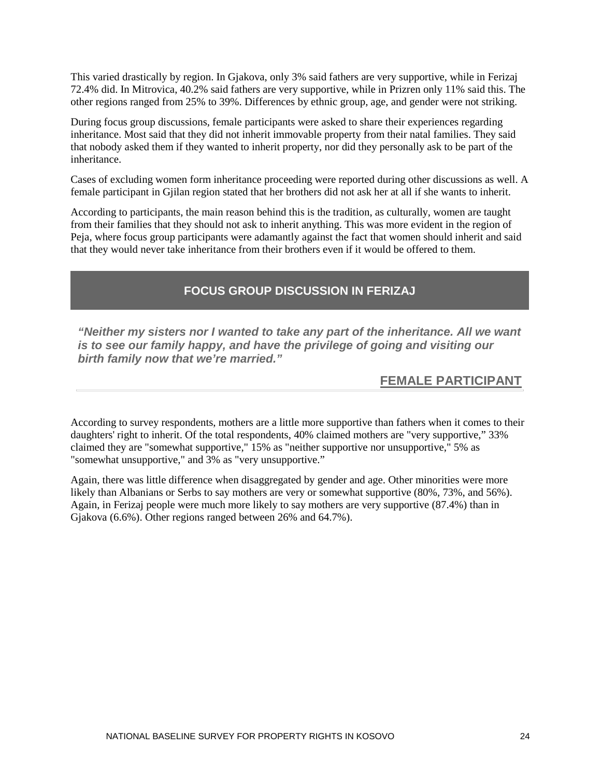This varied drastically by region. In Gjakova, only 3% said fathers are very supportive, while in Ferizaj 72.4% did. In Mitrovica, 40.2% said fathers are very supportive, while in Prizren only 11% said this. The other regions ranged from 25% to 39%. Differences by ethnic group, age, and gender were not striking.

During focus group discussions, female participants were asked to share their experiences regarding inheritance. Most said that they did not inherit immovable property from their natal families. They said that nobody asked them if they wanted to inherit property, nor did they personally ask to be part of the inheritance.

Cases of excluding women form inheritance proceeding were reported during other discussions as well. A female participant in Gjilan region stated that her brothers did not ask her at all if she wants to inherit.

According to participants, the main reason behind this is the tradition, as culturally, women are taught from their families that they should not ask to inherit anything. This was more evident in the region of Peja, where focus group participants were adamantly against the fact that women should inherit and said that they would never take inheritance from their brothers even if it would be offered to them.

## **FOCUS GROUP DISCUSSION IN FERIZAJ**

*"Neither my sisters nor I wanted to take any part of the inheritance. All we want is to see our family happy, and have the privilege of going and visiting our birth family now that we're married."*

## **FEMALE PARTICIPANT**

According to survey respondents, mothers are a little more supportive than fathers when it comes to their daughters' right to inherit. Of the total respondents, 40% claimed mothers are "very supportive," 33% claimed they are "somewhat supportive," 15% as "neither supportive nor unsupportive," 5% as "somewhat unsupportive," and 3% as "very unsupportive."

Again, there was little difference when disaggregated by gender and age. Other minorities were more likely than Albanians or Serbs to say mothers are very or somewhat supportive (80%, 73%, and 56%). Again, in Ferizaj people were much more likely to say mothers are very supportive (87.4%) than in Gjakova (6.6%). Other regions ranged between 26% and 64.7%).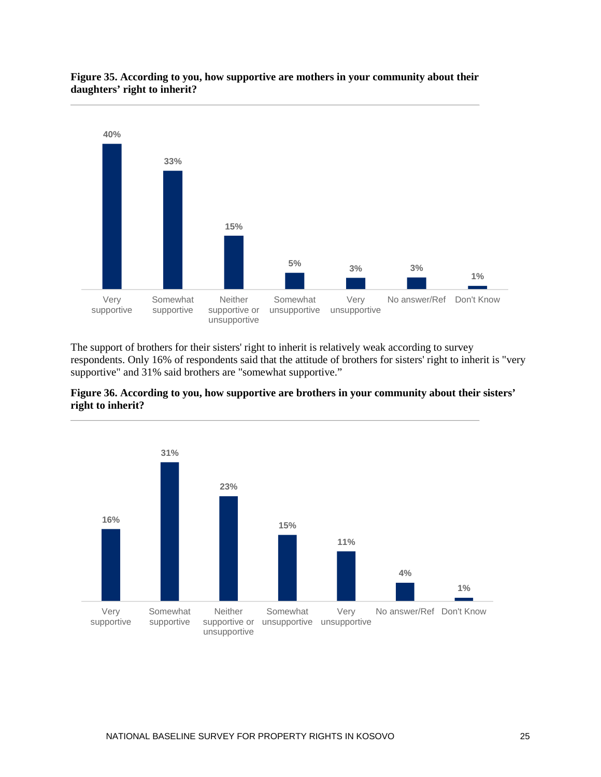

#### **Figure 35. According to you, how supportive are mothers in your community about their daughters' right to inherit?**

The support of brothers for their sisters' right to inherit is relatively weak according to survey respondents. Only 16% of respondents said that the attitude of brothers for sisters' right to inherit is "very supportive" and 31% said brothers are "somewhat supportive."



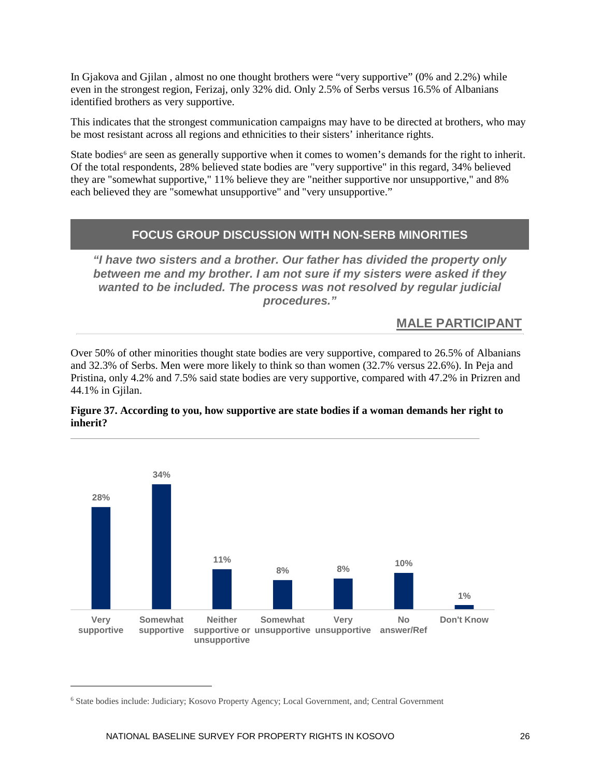In Gjakova and Gjilan , almost no one thought brothers were "very supportive" (0% and 2.2%) while even in the strongest region, Ferizaj, only 32% did. Only 2.5% of Serbs versus 16.5% of Albanians identified brothers as very supportive.

This indicates that the strongest communication campaigns may have to be directed at brothers, who may be most resistant across all regions and ethnicities to their sisters' inheritance rights.

State bodies<sup>[6](#page-32-0)</sup> are seen as generally supportive when it comes to women's demands for the right to inherit. Of the total respondents, 28% believed state bodies are "very supportive" in this regard, 34% believed they are "somewhat supportive," 11% believe they are "neither supportive nor unsupportive," and 8% each believed they are "somewhat unsupportive" and "very unsupportive."

## **FOCUS GROUP DISCUSSION WITH NON-SERB MINORITIES**

*"I have two sisters and a brother. Our father has divided the property only between me and my brother. I am not sure if my sisters were asked if they wanted to be included. The process was not resolved by regular judicial procedures."*

## **MALE PARTICIPANT**

Over 50% of other minorities thought state bodies are very supportive, compared to 26.5% of Albanians and 32.3% of Serbs. Men were more likely to think so than women (32.7% versus 22.6%). In Peja and Pristina, only 4.2% and 7.5% said state bodies are very supportive, compared with 47.2% in Prizren and 44.1% in Gjilan.



#### **Figure 37. According to you, how supportive are state bodies if a woman demands her right to inherit?**

 $\overline{a}$ 

<span id="page-32-0"></span><sup>6</sup> State bodies include: Judiciary; Kosovo Property Agency; Local Government, and; Central Government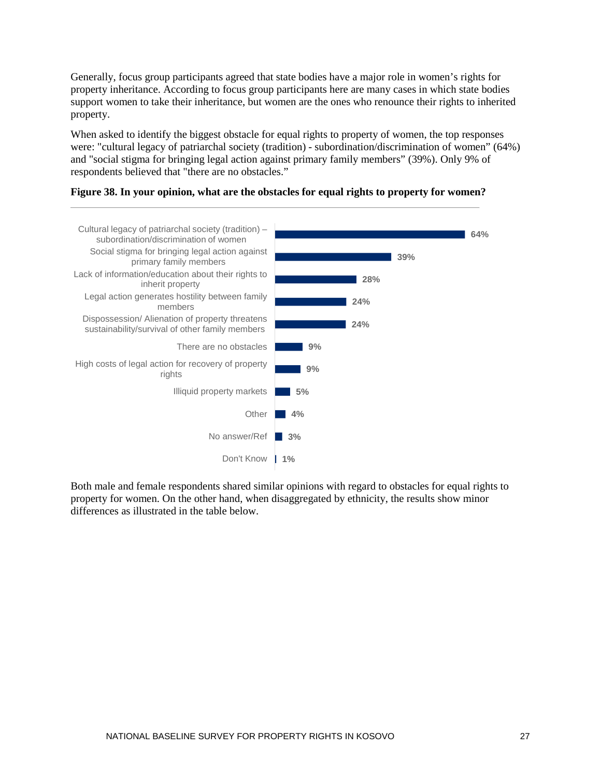Generally, focus group participants agreed that state bodies have a major role in women's rights for property inheritance. According to focus group participants here are many cases in which state bodies support women to take their inheritance, but women are the ones who renounce their rights to inherited property.

When asked to identify the biggest obstacle for equal rights to property of women, the top responses were: "cultural legacy of patriarchal society (tradition) - subordination/discrimination of women" (64%) and "social stigma for bringing legal action against primary family members" (39%). Only 9% of respondents believed that "there are no obstacles."





Both male and female respondents shared similar opinions with regard to obstacles for equal rights to property for women. On the other hand, when disaggregated by ethnicity, the results show minor differences as illustrated in the table below.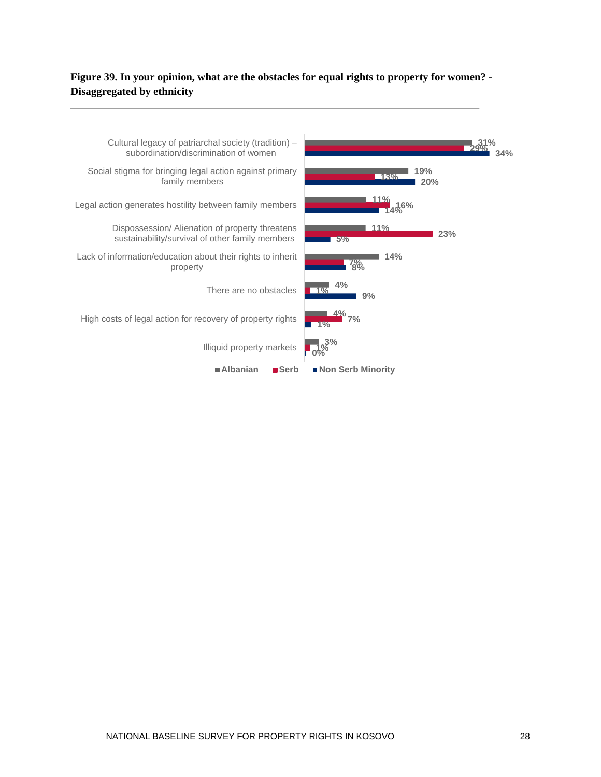## **Figure 39. In your opinion, what are the obstacles for equal rights to property for women? - Disaggregated by ethnicity**

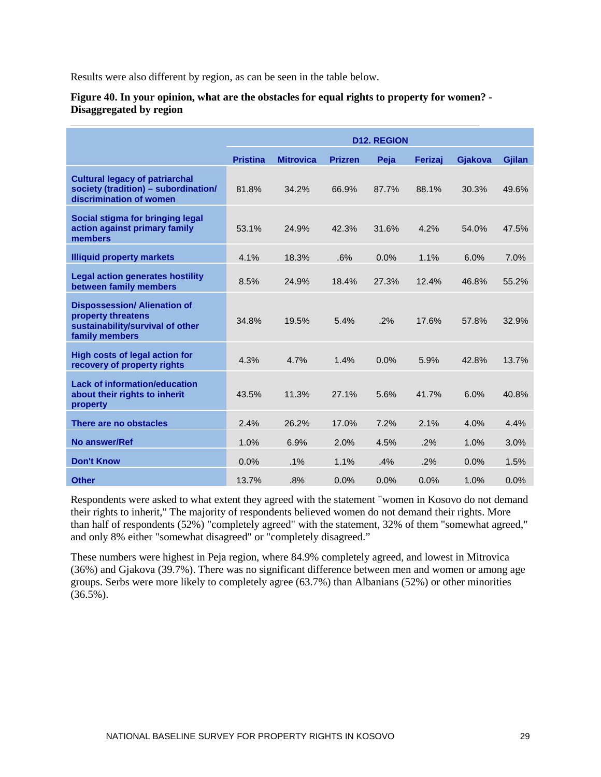Results were also different by region, as can be seen in the table below.

#### **Figure 40. In your opinion, what are the obstacles for equal rights to property for women? - Disaggregated by region**

|                                                                                                                 | <b>D12. REGION</b> |                  |                |       |         |         |        |
|-----------------------------------------------------------------------------------------------------------------|--------------------|------------------|----------------|-------|---------|---------|--------|
|                                                                                                                 | <b>Pristina</b>    | <b>Mitrovica</b> | <b>Prizren</b> | Peja  | Ferizai | Gjakova | Gjilan |
| <b>Cultural legacy of patriarchal</b><br>society (tradition) - subordination/<br>discrimination of women        | 81.8%              | 34.2%            | 66.9%          | 87.7% | 88.1%   | 30.3%   | 49.6%  |
| Social stigma for bringing legal<br>action against primary family<br>members                                    | 53.1%              | 24.9%            | 42.3%          | 31.6% | 4.2%    | 54.0%   | 47.5%  |
| <b>Illiquid property markets</b>                                                                                | 4.1%               | 18.3%            | .6%            | 0.0%  | 1.1%    | 6.0%    | 7.0%   |
| <b>Legal action generates hostility</b><br>between family members                                               | 8.5%               | 24.9%            | 18.4%          | 27.3% | 12.4%   | 46.8%   | 55.2%  |
| <b>Dispossession/ Alienation of</b><br>property threatens<br>sustainability/survival of other<br>family members | 34.8%              | 19.5%            | 5.4%           | .2%   | 17.6%   | 57.8%   | 32.9%  |
| <b>High costs of legal action for</b><br>recovery of property rights                                            | 4.3%               | 4.7%             | 1.4%           | 0.0%  | 5.9%    | 42.8%   | 13.7%  |
| <b>Lack of information/education</b><br>about their rights to inherit<br>property                               | 43.5%              | 11.3%            | 27.1%          | 5.6%  | 41.7%   | 6.0%    | 40.8%  |
| There are no obstacles                                                                                          | 2.4%               | 26.2%            | 17.0%          | 7.2%  | 2.1%    | 4.0%    | 4.4%   |
| No answer/Ref                                                                                                   | 1.0%               | 6.9%             | 2.0%           | 4.5%  | .2%     | 1.0%    | 3.0%   |
| <b>Don't Know</b>                                                                                               | 0.0%               | $.1\%$           | 1.1%           | .4%   | .2%     | 0.0%    | 1.5%   |
| <b>Other</b>                                                                                                    | 13.7%              | .8%              | 0.0%           | 0.0%  | 0.0%    | 1.0%    | 0.0%   |

Respondents were asked to what extent they agreed with the statement "women in Kosovo do not demand their rights to inherit," The majority of respondents believed women do not demand their rights. More than half of respondents (52%) "completely agreed" with the statement, 32% of them "somewhat agreed," and only 8% either "somewhat disagreed" or "completely disagreed."

These numbers were highest in Peja region, where 84.9% completely agreed, and lowest in Mitrovica (36%) and Gjakova (39.7%). There was no significant difference between men and women or among age groups. Serbs were more likely to completely agree (63.7%) than Albanians (52%) or other minorities  $(36.5\%)$ .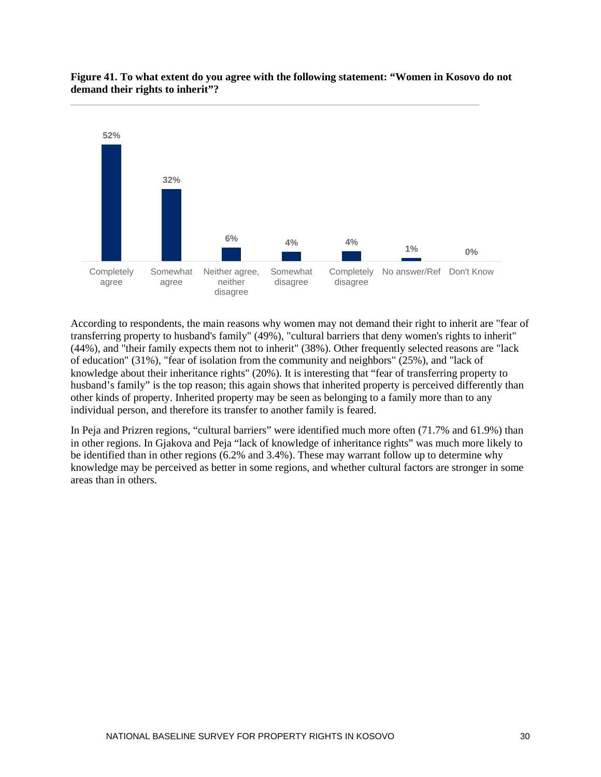

### **Figure 41. To what extent do you agree with the following statement: "Women in Kosovo do not demand their rights to inherit"?**

According to respondents, the main reasons why women may not demand their right to inherit are "fear of transferring property to husband's family" (49%), "cultural barriers that deny women's rights to inherit" (44%), and "their family expects them not to inherit" (38%). Other frequently selected reasons are "lack of education" (31%), "fear of isolation from the community and neighbors" (25%), and "lack of knowledge about their inheritance rights" (20%). It is interesting that "fear of transferring property to husband's family" is the top reason; this again shows that inherited property is perceived differently than other kinds of property. Inherited property may be seen as belonging to a family more than to any individual person, and therefore its transfer to another family is feared.

In Peja and Prizren regions, "cultural barriers" were identified much more often (71.7% and 61.9%) than in other regions. In Gjakova and Peja "lack of knowledge of inheritance rights" was much more likely to be identified than in other regions (6.2% and 3.4%). These may warrant follow up to determine why knowledge may be perceived as better in some regions, and whether cultural factors are stronger in some areas than in others.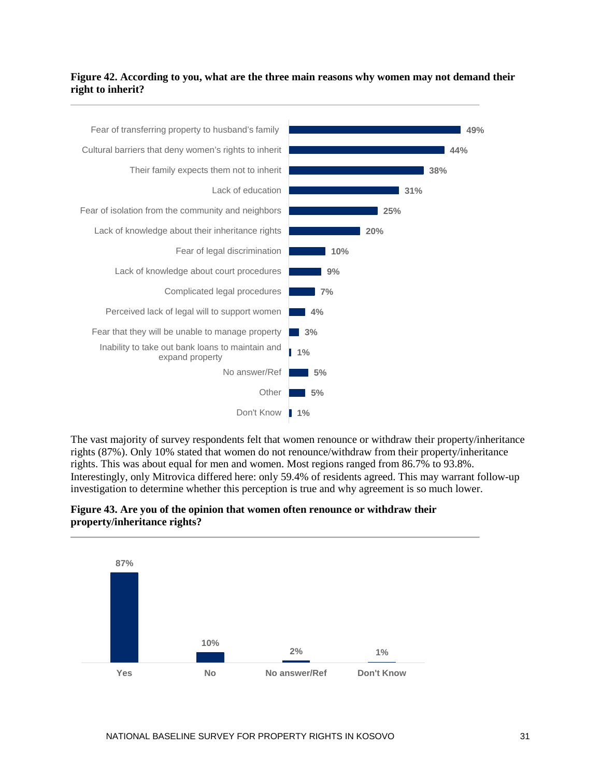### **Figure 42. According to you, what are the three main reasons why women may not demand their right to inherit?**



The vast majority of survey respondents felt that women renounce or withdraw their property/inheritance rights (87%). Only 10% stated that women do not renounce/withdraw from their property/inheritance rights. This was about equal for men and women. Most regions ranged from 86.7% to 93.8%. Interestingly, only Mitrovica differed here: only 59.4% of residents agreed. This may warrant follow-up investigation to determine whether this perception is true and why agreement is so much lower.

### **Figure 43. Are you of the opinion that women often renounce or withdraw their property/inheritance rights?**

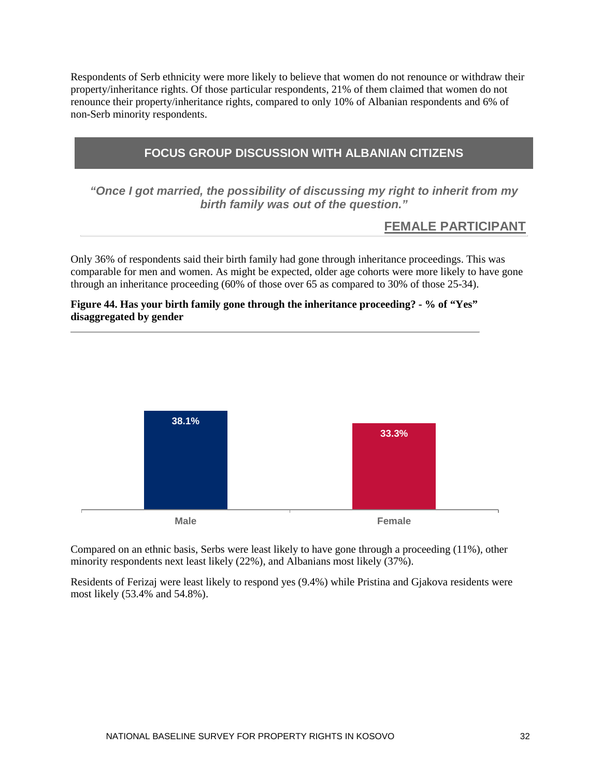Respondents of Serb ethnicity were more likely to believe that women do not renounce or withdraw their property/inheritance rights. Of those particular respondents, 21% of them claimed that women do not renounce their property/inheritance rights, compared to only 10% of Albanian respondents and 6% of non-Serb minority respondents.

## **FOCUS GROUP DISCUSSION WITH ALBANIAN CITIZENS**

*"Once I got married, the possibility of discussing my right to inherit from my birth family was out of the question."*

## **FEMALE PARTICIPANT**

Only 36% of respondents said their birth family had gone through inheritance proceedings. This was comparable for men and women. As might be expected, older age cohorts were more likely to have gone through an inheritance proceeding (60% of those over 65 as compared to 30% of those 25-34).

## **Figure 44. Has your birth family gone through the inheritance proceeding? - % of "Yes" disaggregated by gender**



Compared on an ethnic basis, Serbs were least likely to have gone through a proceeding (11%), other minority respondents next least likely (22%), and Albanians most likely (37%).

Residents of Ferizaj were least likely to respond yes (9.4%) while Pristina and Gjakova residents were most likely (53.4% and 54.8%).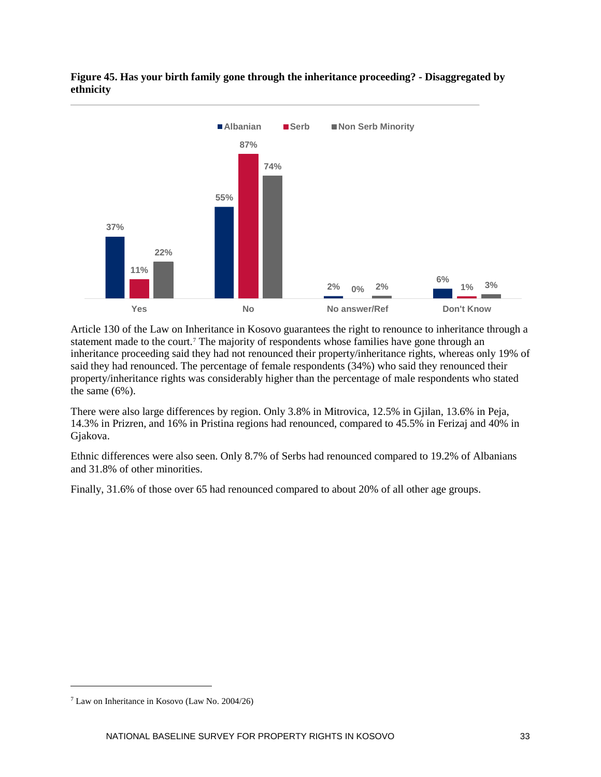

**Figure 45. Has your birth family gone through the inheritance proceeding? - Disaggregated by ethnicity** 

Article 130 of the Law on Inheritance in Kosovo guarantees the right to renounce to inheritance through a statement made to the court.<sup>[7](#page-39-0)</sup> The majority of respondents whose families have gone through an inheritance proceeding said they had not renounced their property/inheritance rights, whereas only 19% of said they had renounced. The percentage of female respondents (34%) who said they renounced their property/inheritance rights was considerably higher than the percentage of male respondents who stated the same (6%).

There were also large differences by region. Only 3.8% in Mitrovica, 12.5% in Gjilan, 13.6% in Peja, 14.3% in Prizren, and 16% in Pristina regions had renounced, compared to 45.5% in Ferizaj and 40% in Gjakova.

Ethnic differences were also seen. Only 8.7% of Serbs had renounced compared to 19.2% of Albanians and 31.8% of other minorities.

Finally, 31.6% of those over 65 had renounced compared to about 20% of all other age groups.

 $\overline{a}$ 

<span id="page-39-0"></span><sup>7</sup> Law on Inheritance in Kosovo (Law No. 2004/26)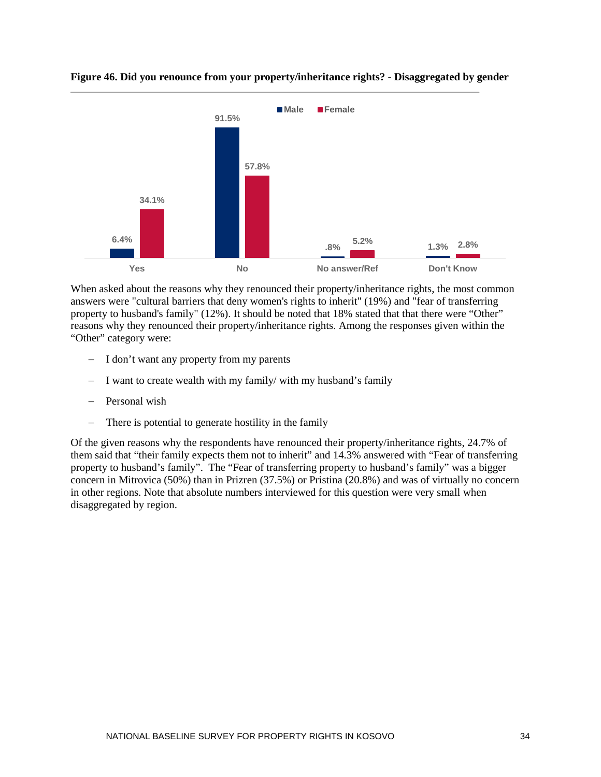

## **Figure 46. Did you renounce from your property/inheritance rights? - Disaggregated by gender**

When asked about the reasons why they renounced their property/inheritance rights, the most common answers were "cultural barriers that deny women's rights to inherit" (19%) and "fear of transferring property to husband's family" (12%). It should be noted that 18% stated that that there were "Other" reasons why they renounced their property/inheritance rights. Among the responses given within the "Other" category were:

- − I don't want any property from my parents
- − I want to create wealth with my family/ with my husband's family
- − Personal wish
- − There is potential to generate hostility in the family

Of the given reasons why the respondents have renounced their property/inheritance rights, 24.7% of them said that "their family expects them not to inherit" and 14.3% answered with "Fear of transferring property to husband's family". The "Fear of transferring property to husband's family" was a bigger concern in Mitrovica (50%) than in Prizren (37.5%) or Pristina (20.8%) and was of virtually no concern in other regions. Note that absolute numbers interviewed for this question were very small when disaggregated by region.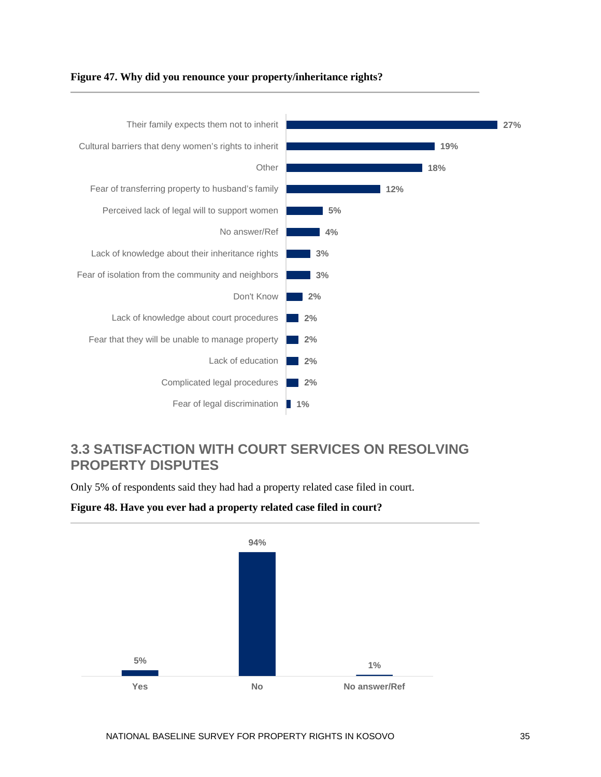

## **Figure 47. Why did you renounce your property/inheritance rights?**

## <span id="page-41-0"></span>**3.3 SATISFACTION WITH COURT SERVICES ON RESOLVING PROPERTY DISPUTES**

Only 5% of respondents said they had had a property related case filed in court.



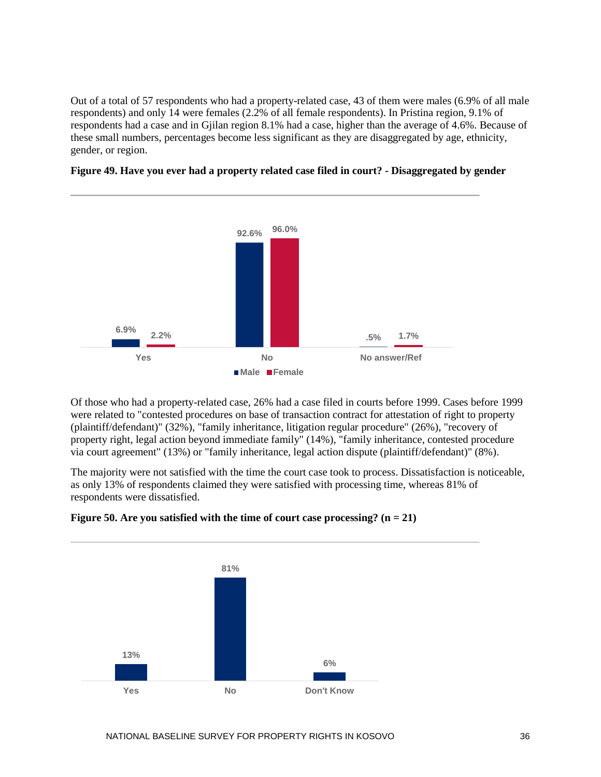Out of a total of 57 respondents who had a property-related case, 43 of them were males (6.9% of all male respondents) and only 14 were females (2.2% of all female respondents). In Pristina region, 9.1% of respondents had a case and in Gjilan region 8.1% had a case, higher than the average of 4.6%. Because of these small numbers, percentages become less significant as they are disaggregated by age, ethnicity, gender, or region.





Of those who had a property-related case, 26% had a case filed in courts before 1999. Cases before 1999 were related to "contested procedures on base of transaction contract for attestation of right to property (plaintiff/defendant)" (32%), "family inheritance, litigation regular procedure" (26%), "recovery of property right, legal action beyond immediate family" (14%), "family inheritance, contested procedure via court agreement" (13%) or "family inheritance, legal action dispute (plaintiff/defendant)" (8%).

The majority were not satisfied with the time the court case took to process. Dissatisfaction is noticeable, as only 13% of respondents claimed they were satisfied with processing time, whereas 81% of respondents were dissatisfied.



## **Figure 50. Are you satisfied with the time of court case processing? (n = 21)**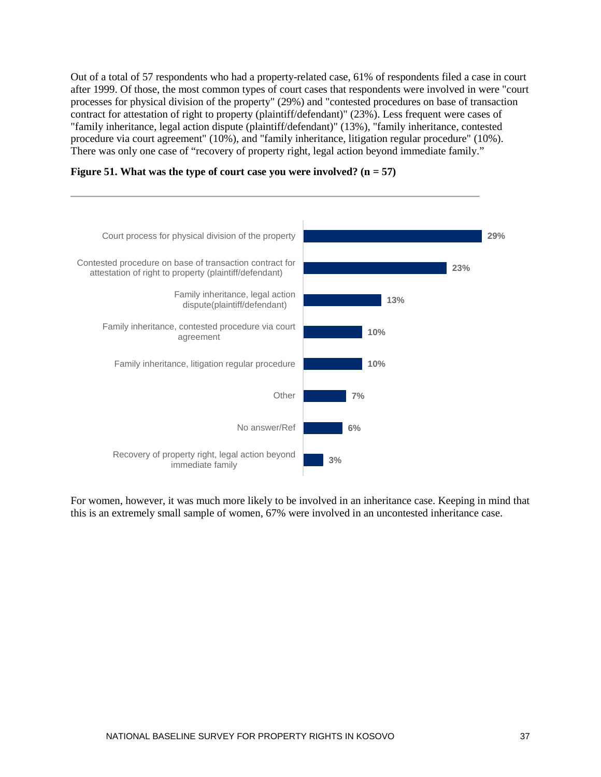Out of a total of 57 respondents who had a property-related case, 61% of respondents filed a case in court after 1999. Of those, the most common types of court cases that respondents were involved in were "court processes for physical division of the property" (29%) and "contested procedures on base of transaction contract for attestation of right to property (plaintiff/defendant)" (23%). Less frequent were cases of "family inheritance, legal action dispute (plaintiff/defendant)" (13%), "family inheritance, contested procedure via court agreement" (10%), and "family inheritance, litigation regular procedure" (10%). There was only one case of "recovery of property right, legal action beyond immediate family."

**Figure 51. What was the type of court case you were involved? (n = 57)**



For women, however, it was much more likely to be involved in an inheritance case. Keeping in mind that this is an extremely small sample of women, 67% were involved in an uncontested inheritance case.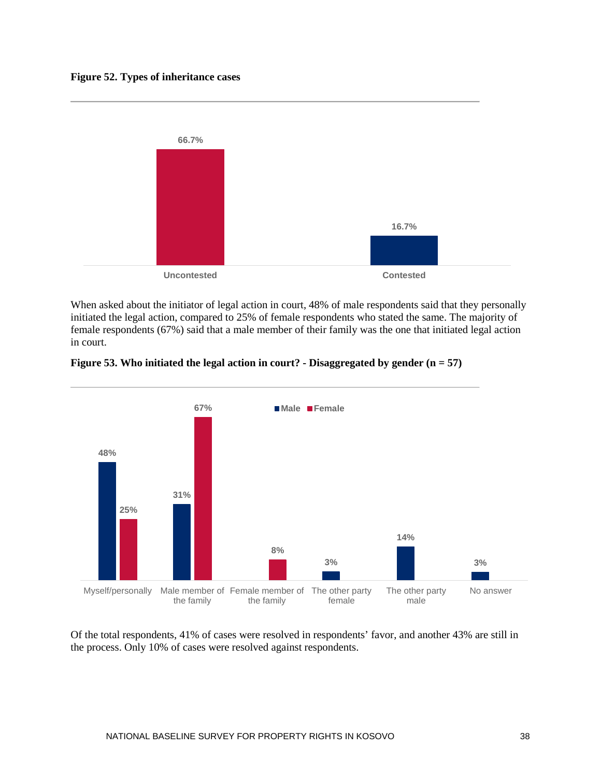#### **Figure 52. Types of inheritance cases**



When asked about the initiator of legal action in court, 48% of male respondents said that they personally initiated the legal action, compared to 25% of female respondents who stated the same. The majority of female respondents (67%) said that a male member of their family was the one that initiated legal action in court.





Of the total respondents, 41% of cases were resolved in respondents' favor, and another 43% are still in the process. Only 10% of cases were resolved against respondents.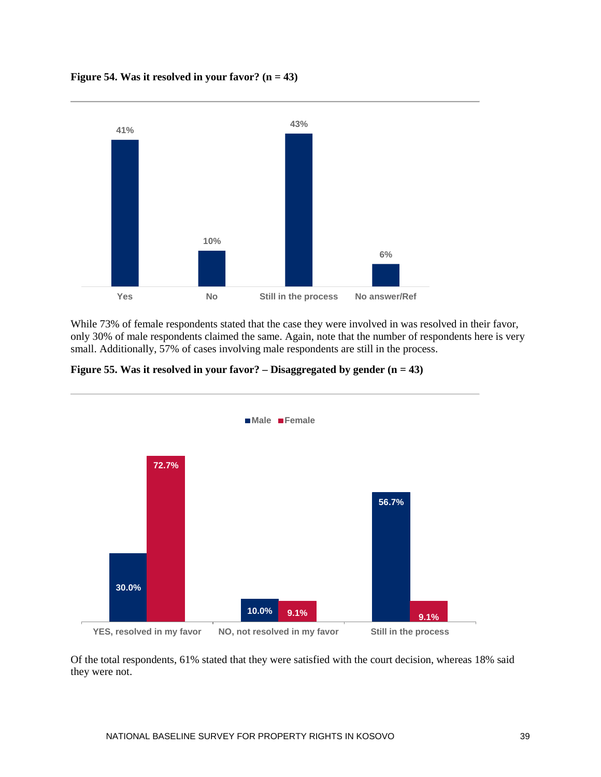**Figure 54. Was it resolved in your favor? (n = 43)**



While 73% of female respondents stated that the case they were involved in was resolved in their favor, only 30% of male respondents claimed the same. Again, note that the number of respondents here is very small. Additionally, 57% of cases involving male respondents are still in the process.





Of the total respondents, 61% stated that they were satisfied with the court decision, whereas 18% said they were not.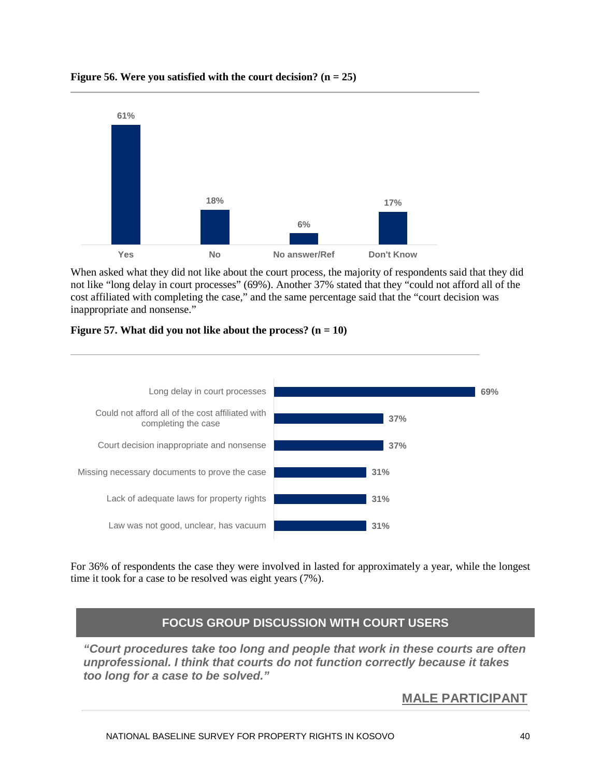

## **Figure 56. Were you satisfied with the court decision? (n = 25)**

When asked what they did not like about the court process, the majority of respondents said that they did not like "long delay in court processes" (69%). Another 37% stated that they "could not afford all of the cost affiliated with completing the case," and the same percentage said that the "court decision was inappropriate and nonsense."

## **Figure 57. What did you not like about the process?**  $(n = 10)$



For 36% of respondents the case they were involved in lasted for approximately a year, while the longest time it took for a case to be resolved was eight years (7%).

## **FOCUS GROUP DISCUSSION WITH COURT USERS**

*"Court procedures take too long and people that work in these courts are often unprofessional. I think that courts do not function correctly because it takes too long for a case to be solved."*

## **MALE PARTICIPANT**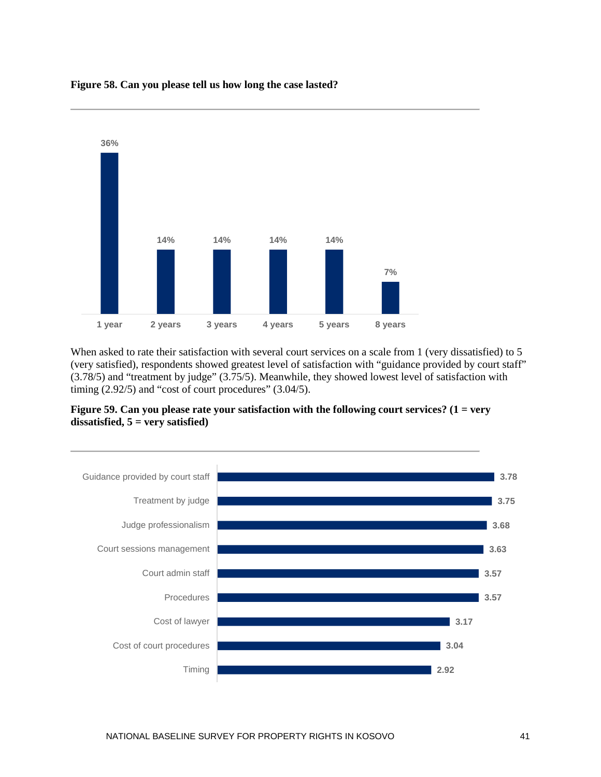

#### **Figure 58. Can you please tell us how long the case lasted?**

When asked to rate their satisfaction with several court services on a scale from 1 (very dissatisfied) to 5 (very satisfied), respondents showed greatest level of satisfaction with "guidance provided by court staff" (3.78/5) and "treatment by judge" (3.75/5). Meanwhile, they showed lowest level of satisfaction with timing  $(2.92/5)$  and "cost of court procedures"  $(3.04/5)$ .



**Figure 59. Can you please rate your satisfaction with the following court services? (1 = very dissatisfied, 5 = very satisfied)**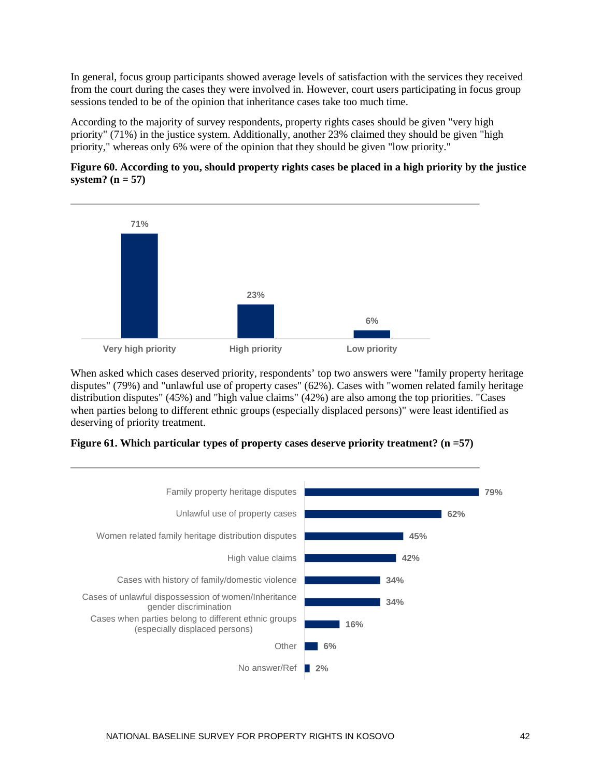In general, focus group participants showed average levels of satisfaction with the services they received from the court during the cases they were involved in. However, court users participating in focus group sessions tended to be of the opinion that inheritance cases take too much time.

According to the majority of survey respondents, property rights cases should be given "very high priority" (71%) in the justice system. Additionally, another 23% claimed they should be given "high priority," whereas only 6% were of the opinion that they should be given "low priority."





When asked which cases deserved priority, respondents' top two answers were "family property heritage disputes" (79%) and "unlawful use of property cases" (62%). Cases with "women related family heritage distribution disputes" (45%) and "high value claims" (42%) are also among the top priorities. "Cases when parties belong to different ethnic groups (especially displaced persons)" were least identified as deserving of priority treatment.



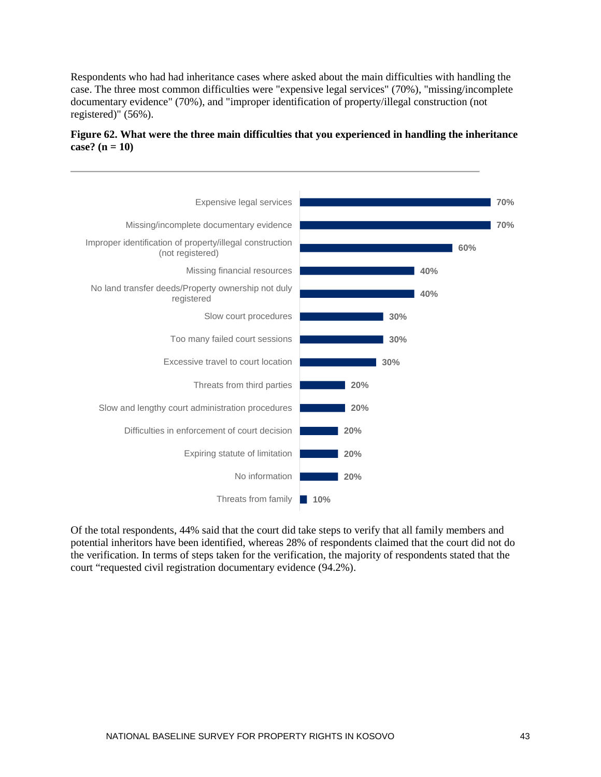Respondents who had had inheritance cases where asked about the main difficulties with handling the case. The three most common difficulties were "expensive legal services" (70%), "missing/incomplete documentary evidence" (70%), and "improper identification of property/illegal construction (not registered)" (56%).



## **Figure 62. What were the three main difficulties that you experienced in handling the inheritance case? (n = 10)**

Of the total respondents, 44% said that the court did take steps to verify that all family members and potential inheritors have been identified, whereas 28% of respondents claimed that the court did not do the verification. In terms of steps taken for the verification, the majority of respondents stated that the court "requested civil registration documentary evidence (94.2%).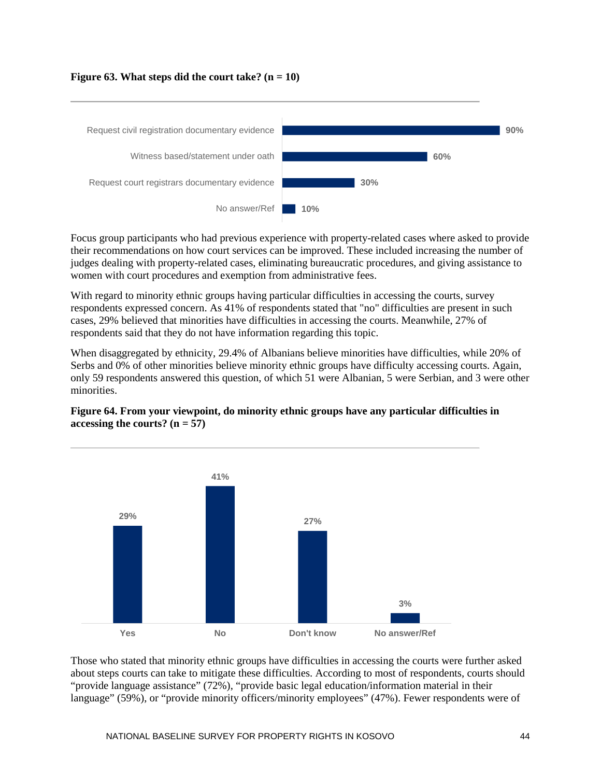### **Figure 63. What steps did the court take? (n = 10)**



Focus group participants who had previous experience with property-related cases where asked to provide their recommendations on how court services can be improved. These included increasing the number of judges dealing with property-related cases, eliminating bureaucratic procedures, and giving assistance to women with court procedures and exemption from administrative fees.

With regard to minority ethnic groups having particular difficulties in accessing the courts, survey respondents expressed concern. As 41% of respondents stated that "no" difficulties are present in such cases, 29% believed that minorities have difficulties in accessing the courts. Meanwhile, 27% of respondents said that they do not have information regarding this topic.

When disaggregated by ethnicity, 29.4% of Albanians believe minorities have difficulties, while 20% of Serbs and 0% of other minorities believe minority ethnic groups have difficulty accessing courts. Again, only 59 respondents answered this question, of which 51 were Albanian, 5 were Serbian, and 3 were other minorities.





Those who stated that minority ethnic groups have difficulties in accessing the courts were further asked about steps courts can take to mitigate these difficulties. According to most of respondents, courts should "provide language assistance" (72%), "provide basic legal education/information material in their language" (59%), or "provide minority officers/minority employees" (47%). Fewer respondents were of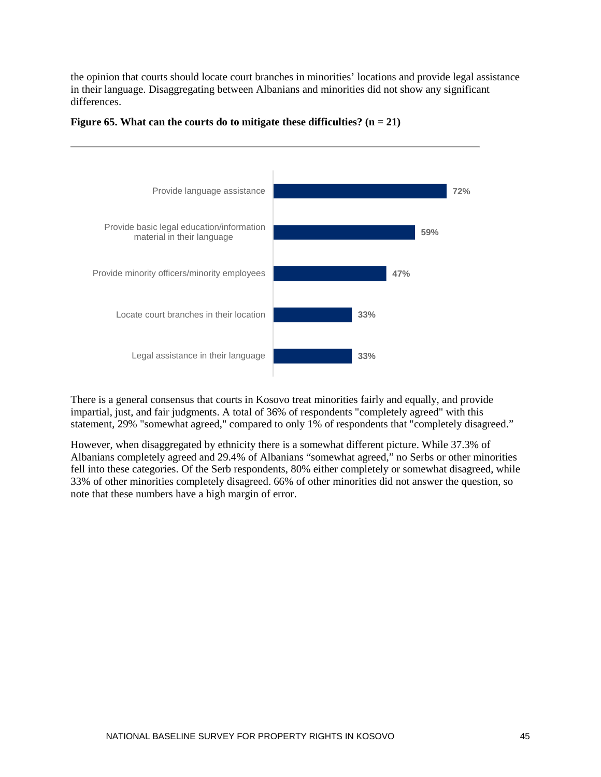the opinion that courts should locate court branches in minorities' locations and provide legal assistance in their language. Disaggregating between Albanians and minorities did not show any significant differences.



#### **Figure 65. What can the courts do to mitigate these difficulties? (n = 21)**

There is a general consensus that courts in Kosovo treat minorities fairly and equally, and provide impartial, just, and fair judgments. A total of 36% of respondents "completely agreed" with this statement, 29% "somewhat agreed," compared to only 1% of respondents that "completely disagreed."

However, when disaggregated by ethnicity there is a somewhat different picture. While 37.3% of Albanians completely agreed and 29.4% of Albanians "somewhat agreed," no Serbs or other minorities fell into these categories. Of the Serb respondents, 80% either completely or somewhat disagreed, while 33% of other minorities completely disagreed. 66% of other minorities did not answer the question, so note that these numbers have a high margin of error.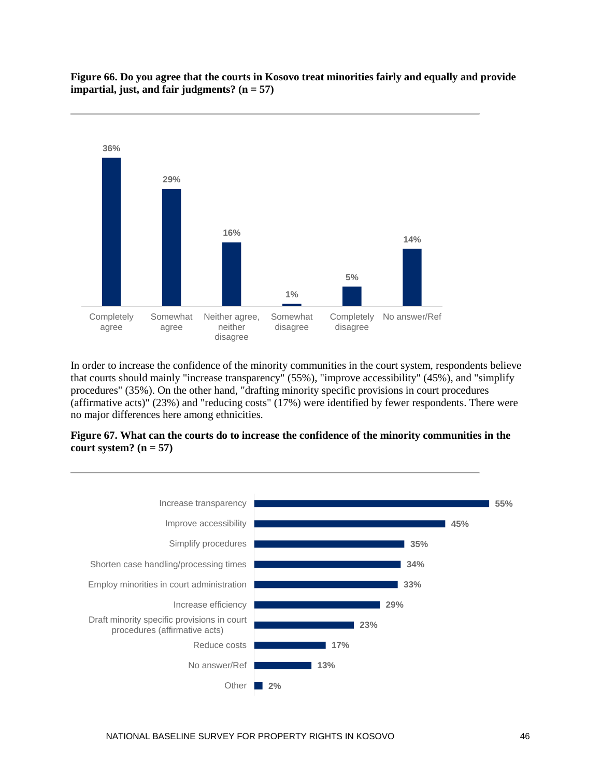

**Figure 66. Do you agree that the courts in Kosovo treat minorities fairly and equally and provide impartial, just, and fair judgments? (n = 57)**

In order to increase the confidence of the minority communities in the court system, respondents believe that courts should mainly "increase transparency" (55%), "improve accessibility" (45%), and "simplify procedures" (35%). On the other hand, "drafting minority specific provisions in court procedures (affirmative acts)" (23%) and "reducing costs" (17%) were identified by fewer respondents. There were no major differences here among ethnicities.



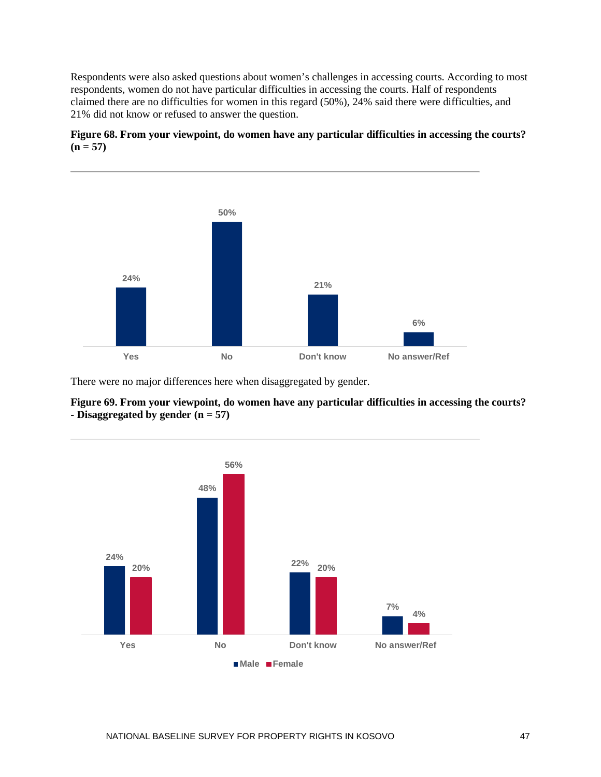Respondents were also asked questions about women's challenges in accessing courts. According to most respondents, women do not have particular difficulties in accessing the courts. Half of respondents claimed there are no difficulties for women in this regard (50%), 24% said there were difficulties, and 21% did not know or refused to answer the question.





There were no major differences here when disaggregated by gender.



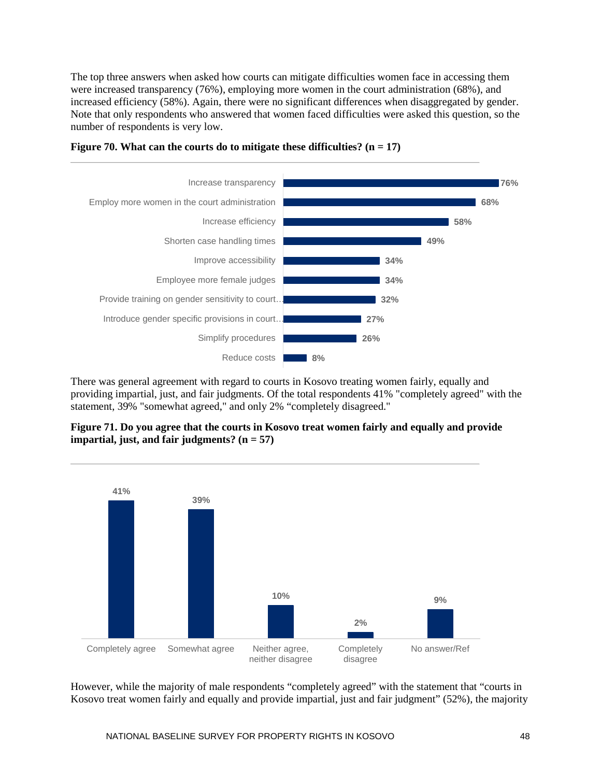The top three answers when asked how courts can mitigate difficulties women face in accessing them were increased transparency (76%), employing more women in the court administration (68%), and increased efficiency (58%). Again, there were no significant differences when disaggregated by gender. Note that only respondents who answered that women faced difficulties were asked this question, so the number of respondents is very low.





There was general agreement with regard to courts in Kosovo treating women fairly, equally and providing impartial, just, and fair judgments. Of the total respondents 41% "completely agreed" with the statement, 39% "somewhat agreed," and only 2% "completely disagreed."





However, while the majority of male respondents "completely agreed" with the statement that "courts in Kosovo treat women fairly and equally and provide impartial, just and fair judgment" (52%), the majority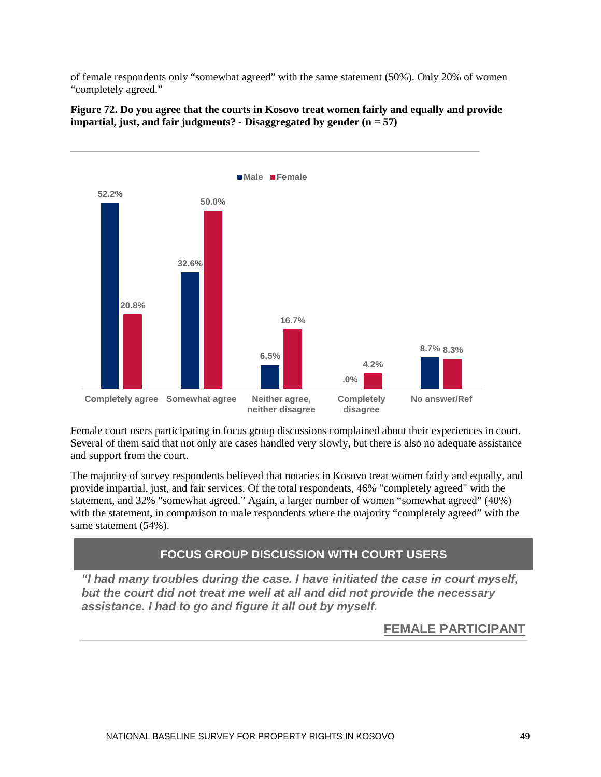of female respondents only "somewhat agreed" with the same statement (50%). Only 20% of women "completely agreed."



**Figure 72. Do you agree that the courts in Kosovo treat women fairly and equally and provide impartial, just, and fair judgments? - Disaggregated by gender (n = 57)**

Female court users participating in focus group discussions complained about their experiences in court. Several of them said that not only are cases handled very slowly, but there is also no adequate assistance and support from the court.

The majority of survey respondents believed that notaries in Kosovo treat women fairly and equally, and provide impartial, just, and fair services. Of the total respondents, 46% "completely agreed" with the statement, and 32% "somewhat agreed." Again, a larger number of women "somewhat agreed" (40%) with the statement, in comparison to male respondents where the majority "completely agreed" with the same statement (54%).

## **FOCUS GROUP DISCUSSION WITH COURT USERS**

*"I had many troubles during the case. I have initiated the case in court myself, but the court did not treat me well at all and did not provide the necessary assistance. I had to go and figure it all out by myself.*

## **FEMALE PARTICIPANT**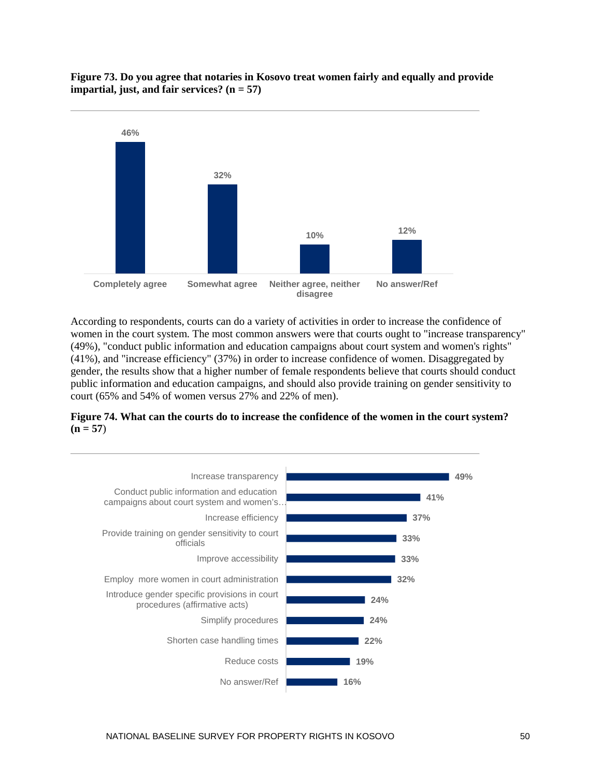



According to respondents, courts can do a variety of activities in order to increase the confidence of women in the court system. The most common answers were that courts ought to "increase transparency" (49%), "conduct public information and education campaigns about court system and women's rights" (41%), and "increase efficiency" (37%) in order to increase confidence of women. Disaggregated by gender, the results show that a higher number of female respondents believe that courts should conduct public information and education campaigns, and should also provide training on gender sensitivity to court (65% and 54% of women versus 27% and 22% of men).



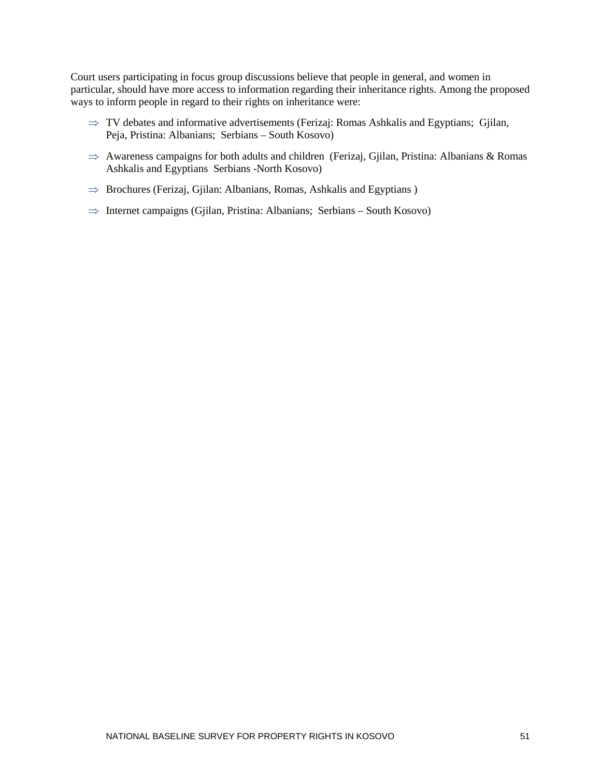Court users participating in focus group discussions believe that people in general, and women in particular, should have more access to information regarding their inheritance rights. Among the proposed ways to inform people in regard to their rights on inheritance were:

- $\Rightarrow$  TV debates and informative advertisements (Ferizaj: Romas Ashkalis and Egyptians; Gjilan, Peja, Pristina: Albanians; Serbians – South Kosovo)
- ⇒ Awareness campaigns for both adults and children (Ferizaj, Gjilan, Pristina: Albanians & Romas Ashkalis and Egyptians Serbians -North Kosovo)
- $\Rightarrow$  Brochures (Ferizaj, Gjilan: Albanians, Romas, Ashkalis and Egyptians)
- ⇒ Internet campaigns (Gjilan, Pristina: Albanians; Serbians South Kosovo)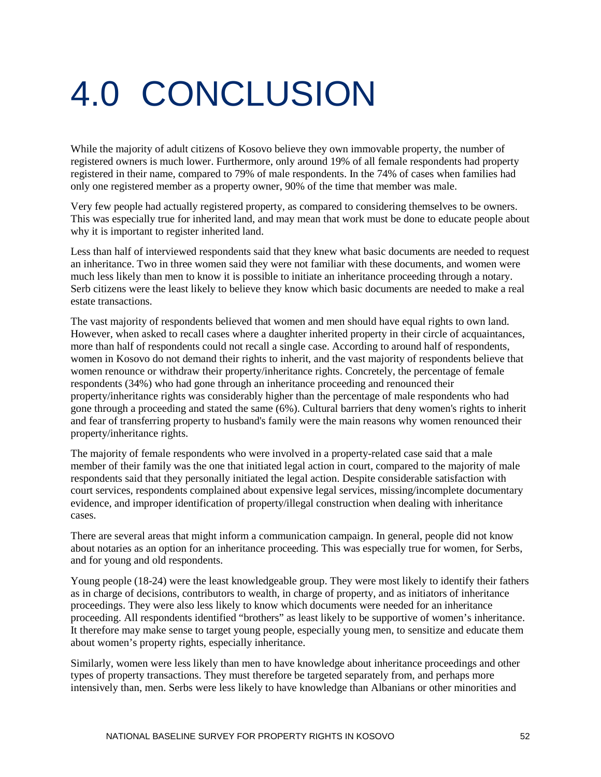## <span id="page-58-0"></span>4.0 CONCLUSION

While the majority of adult citizens of Kosovo believe they own immovable property, the number of registered owners is much lower. Furthermore, only around 19% of all female respondents had property registered in their name, compared to 79% of male respondents. In the 74% of cases when families had only one registered member as a property owner, 90% of the time that member was male.

Very few people had actually registered property, as compared to considering themselves to be owners. This was especially true for inherited land, and may mean that work must be done to educate people about why it is important to register inherited land.

Less than half of interviewed respondents said that they knew what basic documents are needed to request an inheritance. Two in three women said they were not familiar with these documents, and women were much less likely than men to know it is possible to initiate an inheritance proceeding through a notary. Serb citizens were the least likely to believe they know which basic documents are needed to make a real estate transactions.

The vast majority of respondents believed that women and men should have equal rights to own land. However, when asked to recall cases where a daughter inherited property in their circle of acquaintances, more than half of respondents could not recall a single case. According to around half of respondents, women in Kosovo do not demand their rights to inherit, and the vast majority of respondents believe that women renounce or withdraw their property/inheritance rights. Concretely, the percentage of female respondents (34%) who had gone through an inheritance proceeding and renounced their property/inheritance rights was considerably higher than the percentage of male respondents who had gone through a proceeding and stated the same (6%). Cultural barriers that deny women's rights to inherit and fear of transferring property to husband's family were the main reasons why women renounced their property/inheritance rights.

The majority of female respondents who were involved in a property-related case said that a male member of their family was the one that initiated legal action in court, compared to the majority of male respondents said that they personally initiated the legal action. Despite considerable satisfaction with court services, respondents complained about expensive legal services, missing/incomplete documentary evidence, and improper identification of property/illegal construction when dealing with inheritance cases.

There are several areas that might inform a communication campaign. In general, people did not know about notaries as an option for an inheritance proceeding. This was especially true for women, for Serbs, and for young and old respondents.

Young people (18-24) were the least knowledgeable group. They were most likely to identify their fathers as in charge of decisions, contributors to wealth, in charge of property, and as initiators of inheritance proceedings. They were also less likely to know which documents were needed for an inheritance proceeding. All respondents identified "brothers" as least likely to be supportive of women's inheritance. It therefore may make sense to target young people, especially young men, to sensitize and educate them about women's property rights, especially inheritance.

Similarly, women were less likely than men to have knowledge about inheritance proceedings and other types of property transactions. They must therefore be targeted separately from, and perhaps more intensively than, men. Serbs were less likely to have knowledge than Albanians or other minorities and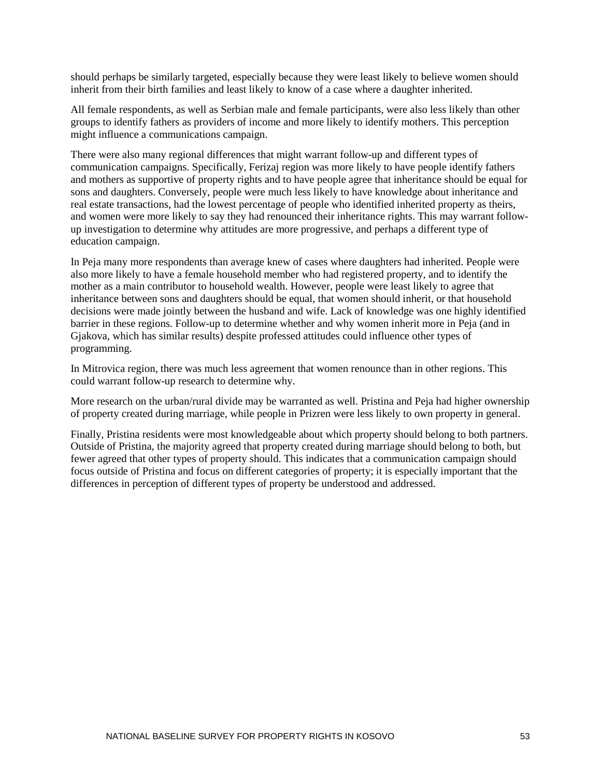should perhaps be similarly targeted, especially because they were least likely to believe women should inherit from their birth families and least likely to know of a case where a daughter inherited.

All female respondents, as well as Serbian male and female participants, were also less likely than other groups to identify fathers as providers of income and more likely to identify mothers. This perception might influence a communications campaign.

There were also many regional differences that might warrant follow-up and different types of communication campaigns. Specifically, Ferizaj region was more likely to have people identify fathers and mothers as supportive of property rights and to have people agree that inheritance should be equal for sons and daughters. Conversely, people were much less likely to have knowledge about inheritance and real estate transactions, had the lowest percentage of people who identified inherited property as theirs, and women were more likely to say they had renounced their inheritance rights. This may warrant followup investigation to determine why attitudes are more progressive, and perhaps a different type of education campaign.

In Peja many more respondents than average knew of cases where daughters had inherited. People were also more likely to have a female household member who had registered property, and to identify the mother as a main contributor to household wealth. However, people were least likely to agree that inheritance between sons and daughters should be equal, that women should inherit, or that household decisions were made jointly between the husband and wife. Lack of knowledge was one highly identified barrier in these regions. Follow-up to determine whether and why women inherit more in Peja (and in Gjakova, which has similar results) despite professed attitudes could influence other types of programming.

In Mitrovica region, there was much less agreement that women renounce than in other regions. This could warrant follow-up research to determine why.

More research on the urban/rural divide may be warranted as well. Pristina and Peja had higher ownership of property created during marriage, while people in Prizren were less likely to own property in general.

Finally, Pristina residents were most knowledgeable about which property should belong to both partners. Outside of Pristina, the majority agreed that property created during marriage should belong to both, but fewer agreed that other types of property should. This indicates that a communication campaign should focus outside of Pristina and focus on different categories of property; it is especially important that the differences in perception of different types of property be understood and addressed.